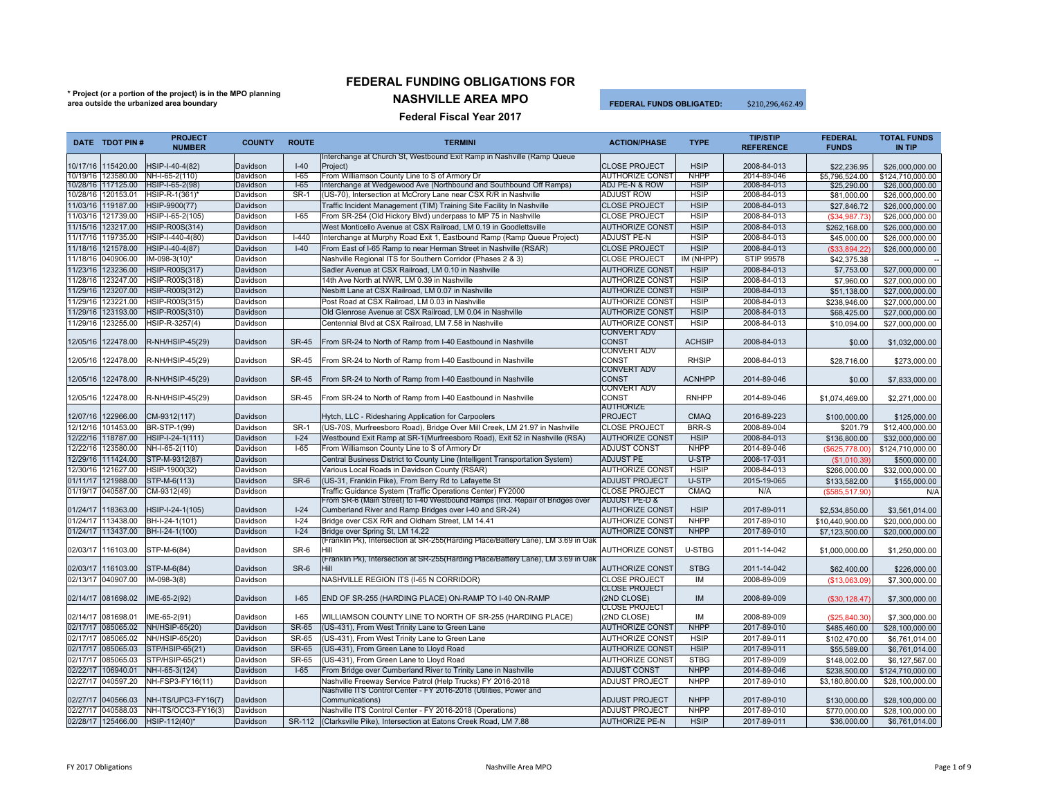## **\* Project (or a portion of the project) is in the MPO planning area outside the urbanized area boundary**

## **FEDERAL FUNDING OBLIGATIONS FOR**

**NASHVILLE AREA MPO**

 **FEDERAL FUNDS OBLIGATED:**\$210,296,462.49

| <b>Federal Fiscal Year 2017</b> |  |  |
|---------------------------------|--|--|
|                                 |  |  |

|          | DATE TDOT PIN #                          | PROJECT<br><b>NUMBER</b>           | <b>COUNTY</b>        | <b>ROUTE</b>   | <b>TERMINI</b>                                                                                                                              | <b>ACTION/PHASE</b>                              | <b>TYPE</b>                | <b>TIP/STIP</b><br><b>REFERENCE</b> | <b>FEDERAL</b><br><b>FUNDS</b> | <b>TOTAL FUNDS</b><br><b>IN TIP</b> |
|----------|------------------------------------------|------------------------------------|----------------------|----------------|---------------------------------------------------------------------------------------------------------------------------------------------|--------------------------------------------------|----------------------------|-------------------------------------|--------------------------------|-------------------------------------|
|          |                                          |                                    |                      |                | Interchange at Church St, Westbound Exit Ramp in Nashville (Ramp Queue)                                                                     |                                                  |                            |                                     |                                |                                     |
|          | 10/17/16 115420.00                       | HSIP-I-40-4(82)                    | Davidson             | $I-40$         | Project)                                                                                                                                    | <b>CLOSE PROJECT</b>                             | <b>HSIP</b>                | 2008-84-013                         | \$22,236.95                    | \$26,000,000.00                     |
|          | 10/19/16 123580.00                       | NH-I-65-2(110)                     | Davidson             | $-65$          | From Williamson County Line to S of Armory Dr                                                                                               | <b>AUTHORIZE CONST</b>                           | <b>NHPP</b>                | 2014-89-046                         | \$5,796,524.00                 | \$124,710,000,00                    |
|          | 10/28/16 117125.00<br>10/28/16 120153.01 | HSIP-I-65-2(98)<br>HSIP-R-1(361)*  | Davidson<br>Davidson | $1-65$<br>SR-1 | Interchange at Wedgewood Ave (Northbound and Southbound Off Ramps)<br>(US-70), Intersection at McCrory Lane near CSX R/R in Nashville       | ADJ PE-N & ROW<br><b>ADJUST ROW</b>              | <b>HSIP</b><br><b>HSIP</b> | 2008-84-013<br>2008-84-013          | \$25,290.00                    | \$26,000,000.00                     |
|          | 11/03/16 119187.00                       | HSIP-9900(77)                      | Davidson             |                | Traffic Incident Management (TIM) Training Site Facility In Nashville                                                                       | <b>CLOSE PROJECT</b>                             | <b>HSIP</b>                | 2008-84-013                         | \$81,000.00<br>\$27,846.72     | \$26,000,000.00<br>\$26,000,000.00  |
| 11/03/16 | 121739.00                                | HSIP-I-65-2(105)                   | Davidson             | $I-65$         | From SR-254 (Old Hickory Blvd) underpass to MP 75 in Nashville                                                                              | <b>CLOSE PROJECT</b>                             | <b>HSIP</b>                | 2008-84-013                         | (\$34,987.73)                  | \$26,000,000.00                     |
| 11/15/16 | 123217.00                                | HSIP-R00S(314)                     | Davidson             |                | West Monticello Avenue at CSX Railroad, LM 0.19 in Goodlettsville                                                                           | <b>AUTHORIZE CONST</b>                           | <b>HSIP</b>                | 2008-84-013                         | \$262,168.00                   | \$26,000,000.00                     |
| 11/17/16 | 119735.00                                | HSIP-I-440-4(80)                   | Davidson             | $I-440$        | Interchange at Murphy Road Exit 1, Eastbound Ramp (Ramp Queue Project)                                                                      | <b>ADJUST PE-N</b>                               | <b>HSIP</b>                | 2008-84-013                         | \$45,000.00                    | \$26,000,000,00                     |
| 11/18/16 | 121578.00                                | HSIP-I-40-4(87)                    | Davidson             | $I-40$         | From East of I-65 Ramp to near Herman Street in Nashville (RSAR)                                                                            | <b>CLOSE PROJECT</b>                             | <b>HSIP</b>                | 2008-84-013                         | (\$33.894.22)                  | \$26,000,000.00                     |
|          | 11/18/16 040906.00                       | IM-098-3(10)*                      | Davidson             |                | Nashville Regional ITS for Southern Corridor (Phases 2 & 3)                                                                                 | <b>CLOSE PROJECT</b>                             | IM (NHPP)                  | <b>STIP 99578</b>                   | \$42,375.38                    |                                     |
| 11/23/16 | 123236.00                                | HSIP-R00S(317)                     | Davidson             |                | Sadler Avenue at CSX Railroad, LM 0.10 in Nashville                                                                                         | <b>AUTHORIZE CONST</b>                           | <b>HSIP</b>                | 2008-84-013                         | \$7,753.00                     | \$27,000,000.00                     |
| 11/28/16 | 123247.00                                | HSIP-R00S(318)                     | Davidson             |                | 14th Ave North at NWR, LM 0.39 in Nashville                                                                                                 | <b>AUTHORIZE CONST</b>                           | <b>HSIP</b>                | 2008-84-013                         | \$7,960.00                     | \$27,000,000.00                     |
| 11/29/16 | 123207.00                                | HSIP-R00S(312)                     | Davidson             |                | Nesbitt Lane at CSX Railroad, LM 0.07 in Nashville                                                                                          | <b>AUTHORIZE CONST</b>                           | <b>HSIP</b>                | 2008-84-013                         |                                |                                     |
| 11/29/16 | 123221.00                                | HSIP-R00S(315)                     | Davidson             |                | Post Road at CSX Railroad, LM 0.03 in Nashville                                                                                             | <b>AUTHORIZE CONST</b>                           | <b>HSIP</b>                | 2008-84-013                         | \$51,138.00<br>\$238,946.00    | \$27,000,000.00<br>\$27,000,000.00  |
| 11/29/16 | 123193.00                                | HSIP-R00S(310)                     | Davidson             |                | Old Glenrose Avenue at CSX Railroad, LM 0.04 in Nashville                                                                                   | <b>AUTHORIZE CONST</b>                           | <b>HSIP</b>                | 2008-84-013                         |                                |                                     |
| 11/29/16 | 123255.00                                |                                    | Davidson             |                | Centennial Blvd at CSX Railroad, LM 7.58 in Nashville                                                                                       | <b>AUTHORIZE CONST</b>                           | <b>HSIP</b>                | 2008-84-013                         | \$68,425.00                    | \$27,000,000,00                     |
|          |                                          | HSIP-R-3257(4)                     |                      |                |                                                                                                                                             | CONVERT ADV                                      |                            |                                     | \$10,094.00                    | \$27,000,000,00                     |
|          | 12/05/16 122478.00                       | R-NH/HSIP-45(29)                   | Davidson             | <b>SR-45</b>   | From SR-24 to North of Ramp from I-40 Eastbound in Nashville                                                                                | <b>CONST</b>                                     | <b>ACHSIP</b>              | 2008-84-013                         | \$0.00                         | \$1,032,000.00                      |
|          |                                          |                                    |                      |                |                                                                                                                                             | <b>CONVERT ADV</b>                               |                            |                                     |                                |                                     |
|          | 12/05/16 122478.00                       | R-NH/HSIP-45(29)                   | Davidson             | <b>SR-45</b>   | From SR-24 to North of Ramp from I-40 Eastbound in Nashville                                                                                | CONST                                            | <b>RHSIP</b>               | 2008-84-013                         | \$28,716.00                    | \$273,000.00                        |
|          |                                          |                                    |                      |                |                                                                                                                                             | CONVERT ADV                                      |                            |                                     |                                |                                     |
|          | 12/05/16 122478.00                       | R-NH/HSIP-45(29)                   | Davidson             | <b>SR-45</b>   | From SR-24 to North of Ramp from I-40 Eastbound in Nashville                                                                                | <b>CONST</b>                                     | <b>ACNHPP</b>              | 2014-89-046                         | \$0.00                         | \$7,833,000.00                      |
|          |                                          |                                    |                      |                |                                                                                                                                             | CONVERT ADV                                      |                            |                                     |                                |                                     |
|          | 12/05/16 122478.00                       | R-NH/HSIP-45(29)                   | Davidson             | <b>SR-45</b>   | From SR-24 to North of Ramp from I-40 Eastbound in Nashville                                                                                | <b>CONST</b>                                     | <b>RNHPP</b>               | 2014-89-046                         | \$1,074,469.00                 | \$2,271,000.00                      |
|          |                                          |                                    | Davidson             |                |                                                                                                                                             | <b>AUTHORIZE</b><br><b>PROJECT</b>               | <b>CMAQ</b>                | 2016-89-223                         |                                |                                     |
|          | 12/07/16 122966.00<br>12/12/16 101453.00 | CM-9312(117)<br>BR-STP-1(99)       | Davidson             | SR-1           | Hytch, LLC - Ridesharing Application for Carpoolers<br>(US-70S, Murfreesboro Road), Bridge Over Mill Creek, LM 21.97 in Nashville           | <b>CLOSE PROJECT</b>                             | <b>BRR-S</b>               | 2008-89-004                         | \$100,000.00                   | \$125,000.00                        |
| 12/22/16 | 118787.00                                |                                    | Davidson             | $I-24$         |                                                                                                                                             | <b>AUTHORIZE CONST</b>                           | <b>HSIP</b>                |                                     | \$201.79                       | \$12,400,000.00                     |
| 12/22/16 | 123580.00                                | HSIP-I-24-1(111)<br>NH-I-65-2(110) | Davidson             | $1-65$         | Westbound Exit Ramp at SR-1(Murfreesboro Road), Exit 52 in Nashville (RSA)<br>From Williamson County Line to S of Armory Dr                 | <b>ADJUST CONST</b>                              | <b>NHPP</b>                | 2008-84-013<br>2014-89-046          | \$136,800.00                   | \$32,000,000.00                     |
| 12/29/16 | 111424.00                                | STP-M-9312(87)                     | Davidson             |                |                                                                                                                                             | <b>ADJUST PE</b>                                 | U-STP                      | 2008-17-031                         | (\$625,778.00)                 | \$124.710.000.00                    |
|          |                                          |                                    |                      |                | Central Business District to County Line (Intelligent Transportation System)                                                                |                                                  | <b>HSIP</b>                |                                     | (S1.010.39)                    | \$500,000,00                        |
| 12/30/16 | 121627.00                                | HSIP-1900(32)                      | Davidson             |                | Various Local Roads in Davidson County (RSAR)                                                                                               | <b>AUTHORIZE CONST</b>                           |                            | 2008-84-013                         | \$266,000.00                   | \$32,000,000.00                     |
| 01/11/17 | 121988.00                                | STP-M-6(113)                       | Davidson             | SR-6           | (US-31, Franklin Pike), From Berry Rd to Lafayette St                                                                                       | <b>ADJUST PROJECT</b>                            | U-STP                      | 2015-19-065                         | \$133,582.00                   | \$155,000.00                        |
|          | 01/19/17 040587.00                       | CM-9312(49)                        | Davidson             |                | Traffic Guidance System (Traffic Operations Center) FY2000<br>From SR-6 (Main Street) to I-40 Westbound Ramps (Incl. Repair of Bridges over | <b>CLOSE PROJECT</b><br><b>ADJUST PE-D &amp;</b> | CMAQ                       | N/A                                 | (\$585,517.90)                 | N/A                                 |
| 01/24/17 | 118363.00                                | HSIP-I-24-1(105)                   | Davidson             | $I-24$         | Cumberland River and Ramp Bridges over I-40 and SR-24)                                                                                      | <b>AUTHORIZE CONST</b>                           | <b>HSIP</b>                | 2017-89-011                         | \$2,534,850.00                 | \$3,561,014.00                      |
| 01/24/17 | 113438.00                                | BH-I-24-1(101)                     | Davidson             | $1 - 24$       | Bridge over CSX R/R and Oldham Street, LM 14.41                                                                                             | <b>AUTHORIZE CONST</b>                           | <b>NHPP</b>                | 2017-89-010                         | \$10,440,900.00                | \$20,000,000,00                     |
|          | 01/24/17 113437.00                       | BH-I-24-1(100)                     | Davidson             | $I-24$         | Bridge over Spring St, LM 14.22                                                                                                             | <b>AUTHORIZE CONST</b>                           | <b>NHPP</b>                | 2017-89-010                         | \$7,123,500.00                 | \$20,000,000.00                     |
|          |                                          |                                    |                      |                | (Franklin Pk), Intersection at SR-255(Harding Place/Battery Lane), LM 3.69 in Oak                                                           |                                                  |                            |                                     |                                |                                     |
|          | 02/03/17 116103.00                       | STP-M-6(84)                        | Davidson             | SR-6           | Hill                                                                                                                                        | <b>AUTHORIZE CONST</b>                           | U-STBG                     | 2011-14-042                         | \$1,000,000.00                 | \$1,250,000.00                      |
|          |                                          |                                    |                      |                | (Franklin Pk), Intersection at SR-255(Harding Place/Battery Lane), LM 3.69 in Oak                                                           |                                                  |                            |                                     |                                |                                     |
| 02/03/17 | 116103.00                                | STP-M-6(84)                        | Davidson             | $SR-6$         | <b>Hill</b>                                                                                                                                 | <b>AUTHORIZE CONST</b>                           | <b>STBG</b>                | 2011-14-042                         | \$62,400.00                    | \$226,000.00                        |
|          | 02/13/17 040907.00                       | $IM-098-3(8)$                      | Davidson             |                | NASHVILLE REGION ITS (I-65 N CORRIDOR)                                                                                                      | <b>CLOSE PROJECT</b>                             | <b>IM</b>                  | 2008-89-009                         | (\$13,063,09)                  | \$7,300,000.00                      |
|          |                                          |                                    |                      |                |                                                                                                                                             | <b>CLOSE PROJECT</b>                             |                            |                                     |                                |                                     |
|          | 02/14/17 081698.02                       | IME-65-2(92)                       | Davidson             | $I-65$         | END OF SR-255 (HARDING PLACE) ON-RAMP TO I-40 ON-RAMP                                                                                       | (2ND CLOSE)                                      | <b>IM</b>                  | 2008-89-009                         | (\$30,128.47)                  | \$7,300,000.00                      |
|          | 02/14/17 081698.01                       |                                    |                      | $I-65$         |                                                                                                                                             | <b>CLOSE PROJECT</b><br>(2ND CLOSE)              | IM                         | 2008-89-009                         |                                |                                     |
|          |                                          | IME-65-2(91)                       | Davidson             | <b>SR-65</b>   | WILLIAMSON COUNTY LINE TO NORTH OF SR-255 (HARDING PLACE)                                                                                   |                                                  | <b>NHPP</b>                | 2017-89-010                         | (\$25,840.30)                  | \$7,300,000.00                      |
| 02/17/17 | 085065.02                                | NH/HSIP-65(20)                     | Davidson             |                | (US-431), From West Trinity Lane to Green Lane                                                                                              | <b>AUTHORIZE CONST</b>                           |                            |                                     | \$485,460.00                   | \$28,100,000.00                     |
| 02/17/17 | 085065.02                                | NH/HSIP-65(20)                     | Davidson             | SR-65          | (US-431), From West Trinity Lane to Green Lane                                                                                              | <b>AUTHORIZE CONST</b>                           | <b>HSIP</b>                | 2017-89-011                         | \$102,470.00                   | \$6,761,014.00                      |
| 02/17/17 | 085065.03                                | STP/HSIP-65(21)                    | Davidson             | <b>SR-65</b>   | (US-431), From Green Lane to Lloyd Road                                                                                                     | <b>AUTHORIZE CONST</b>                           | <b>HSIP</b>                | 2017-89-011                         | \$55,589.00                    | \$6,761,014,00                      |
| 02/17/17 | 085065.03                                | STP/HSIP-65(21)                    | Davidson             | <b>SR-65</b>   | (US-431), From Green Lane to Lloyd Road                                                                                                     | <b>AUTHORIZE CONST</b>                           | <b>STBG</b>                | 2017-89-009                         | \$148,002.00                   | \$6,127,567.00                      |
| 02/22/17 | 106940.01                                | NH-I-65-3(124)                     | Davidson             | $I-65$         | From Bridge over Cumberland River to Trinity Lane in Nashville                                                                              | <b>ADJUST CONST</b>                              | <b>NHPP</b>                | 2014-89-046                         | \$238,500.00                   | \$124,710,000.00                    |
| 02/27/17 | 040597.20                                | NH-FSP3-FY16(11)                   | Davidson             |                | Nashville Freeway Service Patrol (Help Trucks) FY 2016-2018                                                                                 | <b>ADJUST PROJECT</b>                            | <b>NHPP</b>                | 2017-89-010                         | \$3,180,800.00                 | \$28,100,000.00                     |
| 02/27/17 | 040566.03                                | NH-ITS/UPC3-FY16(7)                | Davidson             |                | Nashville ITS Control Center - FY 2016-2018 (Utilities, Power and<br>Communications)                                                        | <b>ADJUST PROJECT</b>                            | <b>NHPP</b>                | 2017-89-010                         |                                |                                     |
| 02/27/17 | 040588.03                                | NH-ITS/OCC3-FY16(3)                | Davidson             |                | Nashville ITS Control Center - FY 2016-2018 (Operations)                                                                                    | <b>ADJUST PROJECT</b>                            | <b>NHPP</b>                | 2017-89-010                         | \$130,000.00<br>\$770,000.00   | \$28,100,000.00<br>\$28,100,000.00  |
|          | 02/28/17 125466.00                       | HSIP-112(40)*                      | Davidson             | SR-112         | (Clarksville Pike), Intersection at Eatons Creek Road, LM 7.88                                                                              | <b>AUTHORIZE PE-N</b>                            | <b>HSIP</b>                | 2017-89-011                         | \$36,000.00                    |                                     |
|          |                                          |                                    |                      |                |                                                                                                                                             |                                                  |                            |                                     |                                | \$6,761,014.00                      |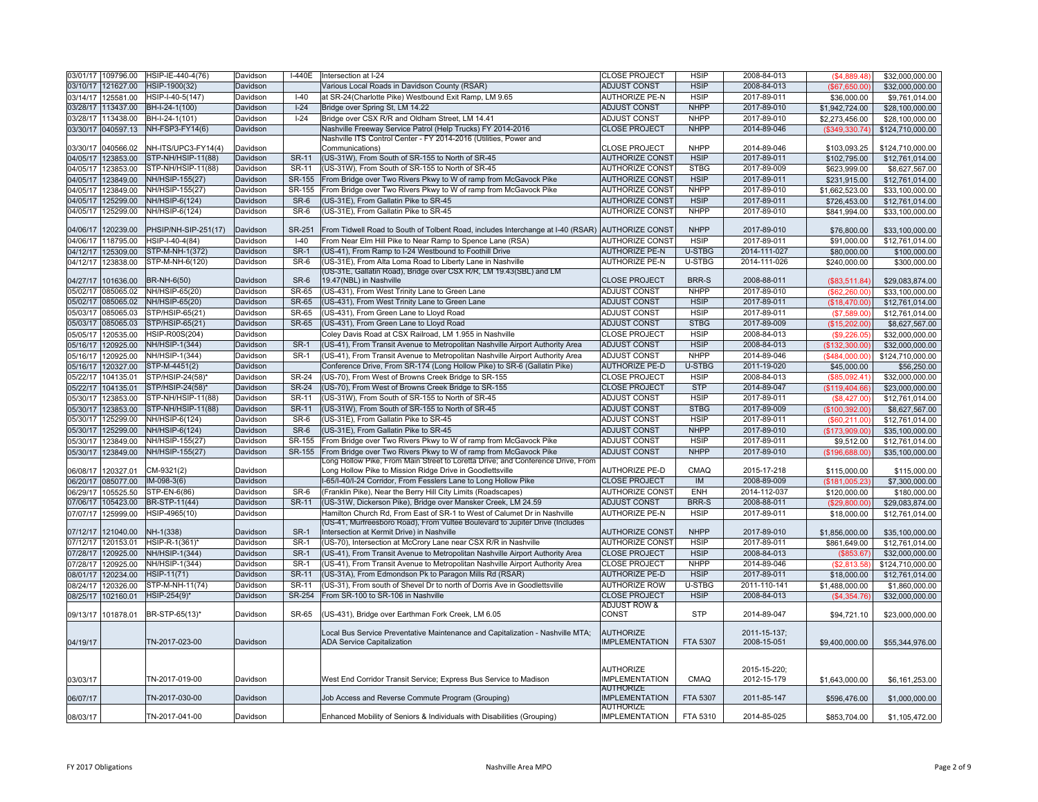|          | 03/01/17 109796.00 | HSIP-IE-440-4(76)    | Davidson | $I-440E$      | Intersection at I-24                                                            | <b>CLOSE PROJECT</b>    | <b>HSIP</b>   | 2008-84-013  | (S4.889.48)    | \$32,000,000.00  |
|----------|--------------------|----------------------|----------|---------------|---------------------------------------------------------------------------------|-------------------------|---------------|--------------|----------------|------------------|
|          | 03/10/17 121627.00 | HSIP-1900(32)        | Davidson |               | Various Local Roads in Davidson County (RSAR)                                   | <b>ADJUST CONST</b>     | <b>HSIP</b>   | 2008-84-013  | (\$67,650.00)  | \$32,000,000.00  |
|          | 03/14/17 125581.00 | HSIP-I-40-5(147)     | Davidson | $I-40$        | at SR-24(Charlotte Pike) Westbound Exit Ramp, LM 9.65                           | <b>AUTHORIZE PE-N</b>   | <b>HSIP</b>   | 2017-89-011  | \$36,000.00    | \$9,761,014.00   |
|          | 03/28/17 113437.00 | BH-I-24-1(100)       | Davidson | $I-24$        | Bridge over Spring St, LM 14.22                                                 | ADJUST CONST            | <b>NHPP</b>   | 2017-89-010  | \$1,942,724.00 | \$28,100,000.00  |
|          | 03/28/17 113438.00 | BH-I-24-1(101)       | Davidson | $I-24$        | Bridge over CSX R/R and Oldham Street, LM 14.41                                 | <b>ADJUST CONST</b>     | <b>NHPP</b>   | 2017-89-010  | \$2,273,456.00 | \$28,100,000.00  |
|          | 03/30/17 040597.13 | NH-FSP3-FY14(6)      | Davidson |               | Nashville Freeway Service Patrol (Help Trucks) FY 2014-2016                     | <b>CLOSE PROJECT</b>    | <b>NHPP</b>   | 2014-89-046  | (\$349,330.74) | \$124,710,000.00 |
|          |                    |                      |          |               | Nashville ITS Control Center - FY 2014-2016 (Utilities, Power and               |                         |               |              |                |                  |
|          | 03/30/17 040566.02 | NH-ITS/UPC3-FY14(4)  | Davidson |               | Communications)                                                                 | <b>CLOSE PROJECT</b>    | <b>NHPP</b>   | 2014-89-046  | \$103.093.25   | \$124.710.000.00 |
|          | 04/05/17 123853.00 | STP-NH/HSIP-11(88)   | Davidson | <b>SR-11</b>  | (US-31W), From South of SR-155 to North of SR-45                                | <b>AUTHORIZE CONST</b>  | <b>HSIP</b>   | 2017-89-011  | \$102,795.00   | \$12,761,014.00  |
|          | 04/05/17 123853.00 | STP-NH/HSIP-11(88)   | Davidson | SR-11         | (US-31W), From South of SR-155 to North of SR-45                                | <b>AUTHORIZE CONST</b>  | <b>STBG</b>   | 2017-89-009  | \$623,999.00   | \$8,627,567.00   |
|          | 04/05/17 123849.00 | NH/HSIP-155(27)      | Davidson | SR-155        | From Bridge over Two Rivers Pkwy to W of ramp from McGavock Pike                | <b>AUTHORIZE CONST</b>  | <b>HSIP</b>   | 2017-89-011  | \$231,915.00   | \$12,761,014.00  |
| 04/05/17 | 123849.00          | NH/HSIP-155(27)      | Davidson | SR-155        | From Bridge over Two Rivers Pkwy to W of ramp from McGavock Pike                | <b>AUTHORIZE CONST</b>  | <b>NHPP</b>   | 2017-89-010  | \$1,662,523.00 | \$33,100,000.00  |
| 04/05/17 | 125299.00          | NH/HSIP-6(124)       | Davidson | SR-6          | (US-31E), From Gallatin Pike to SR-45                                           | <b>AUTHORIZE CONST</b>  | <b>HSIP</b>   | 2017-89-011  | \$726,453.00   | \$12,761,014.00  |
| 04/05/17 | 125299.00          | NH/HSIP-6(124)       | Davidson | $SR-6$        | (US-31E), From Gallatin Pike to SR-45                                           | <b>AUTHORIZE CONST</b>  | <b>NHPP</b>   | 2017-89-010  | \$841,994.00   | \$33,100,000.00  |
|          |                    |                      |          |               |                                                                                 |                         |               |              |                |                  |
| 04/06/17 | 120239.00          | PHSIP/NH-SIP-251(17) | Davidson | <b>SR-251</b> | From Tidwell Road to South of Tolbent Road, includes Interchange at I-40 (RSAR) | <b>AUTHORIZE CONST</b>  | <b>NHPP</b>   | 2017-89-010  | \$76,800.00    | \$33,100,000.00  |
|          | 04/06/17 118795.00 | HSIP-I-40-4(84)      | Davidson | $I-40$        | From Near Elm Hill Pike to Near Ramp to Spence Lane (RSA)                       | <b>AUTHORIZE CONST</b>  | <b>HSIP</b>   | 2017-89-011  | \$91,000.00    | \$12,761,014.00  |
|          | 04/12/17 125309.00 | STP-M-NH-1(372)      | Davidson | <b>SR-1</b>   | (US-41), From Ramp to I-24 Westbound to Foothill Drive                          | <b>AUTHORIZE PE-N</b>   | <b>U-STBG</b> | 2014-111-027 | \$80,000.00    | \$100,000.00     |
|          | 04/12/17 123838.00 | STP-M-NH-6(120)      | Davidson | SR-6          | (US-31E). From Alta Loma Road to Liberty Lane in Nashville                      | <b>AUTHORIZE PE-N</b>   | U-STBG        | 2014-111-026 | \$240.000.00   | \$300,000.00     |
|          |                    |                      |          |               | (US-31E, Gallatin Road), Bridge over CSX R/R, LM 19.43(SBL) and LM              |                         |               |              |                |                  |
| 04/27/17 | 101636.00          | BR-NH-6(50)          | Davidson | SR-6          | 19.47(NBL) in Nashville                                                         | <b>CLOSE PROJECT</b>    | <b>BRR-S</b>  | 2008-88-011  | (S83.511.84)   | \$29,083,874.00  |
|          | 05/02/17 085065.02 | NH/HSIP-65(20)       | Davidson | SR-65         | (US-431), From West Trinity Lane to Green Lane                                  | <b>ADJUST CONST</b>     | <b>NHPP</b>   | 2017-89-010  | (\$62,260.00)  | \$33,100,000.00  |
|          | 05/02/17 085065.02 | NH/HSIP-65(20)       | Davidson | <b>SR-65</b>  | (US-431), From West Trinity Lane to Green Lane                                  | <b>ADJUST CONST</b>     | <b>HSIP</b>   | 2017-89-011  | (S18.470.00)   | \$12,761,014.00  |
|          | 05/03/17 085065.03 | STP/HSIP-65(21)      | Davidson | SR-65         | (US-431), From Green Lane to Lloyd Road                                         | <b>ADJUST CONST</b>     | <b>HSIP</b>   | 2017-89-011  | (\$7,589.00    | \$12,761,014.00  |
|          | 05/03/17 085065.03 | STP/HSIP-65(21)      | Davidson | <b>SR-65</b>  | (US-431), From Green Lane to Lloyd Road                                         | <b>ADJUST CONST</b>     | <b>STBG</b>   | 2017-89-009  | (\$15,202.00)  | \$8,627,567.00   |
| 05/05/17 | 120535.00          | HSIP-R00S(204)       | Davidson |               | Coley Davis Road at CSX Railroad, LM 1.955 in Nashville                         | <b>CLOSE PROJECT</b>    | <b>HSIP</b>   | 2008-84-013  | (\$9,226.05)   | \$32,000,000.00  |
| 05/16/17 | 120925.00          | NH/HSIP-1(344)       | Davidson | <b>SR-1</b>   | (US-41), From Transit Avenue to Metropolitan Nashville Airport Authority Area   | <b>ADJUST CONST</b>     | <b>HSIP</b>   | 2008-84-013  | (\$132,300.00) | \$32,000,000,00  |
| 05/16/17 | 120925.00          | NH/HSIP-1(344)       | Davidson | <b>SR-1</b>   | (US-41), From Transit Avenue to Metropolitan Nashville Airport Authority Area   | <b>ADJUST CONST</b>     | <b>NHPP</b>   | 2014-89-046  | (\$484,000.00) | \$124,710,000.00 |
|          |                    | STP-M-4451(2)        | Davidson |               | Conference Drive, From SR-174 (Long Hollow Pike) to SR-6 (Gallatin Pike)        | <b>AUTHORIZE PE-D</b>   | <b>U-STBG</b> | 2011-19-020  |                |                  |
|          | 05/16/17 120327.00 |                      |          |               |                                                                                 |                         |               |              | \$45,000.00    | \$56,250.00      |
| 05/22/17 | 104135.01          | STP/HSIP-24(58)      | Davidson | <b>SR-24</b>  | (US-70), From West of Browns Creek Bridge to SR-155                             | <b>CLOSE PROJECT</b>    | <b>HSIP</b>   | 2008-84-013  | (\$85,092.41)  | \$32,000,000.00  |
|          | 05/22/17 104135.01 | STP/HSIP-24(58)*     | Davidson | <b>SR-24</b>  | (US-70), From West of Browns Creek Bridge to SR-155                             | <b>CLOSE PROJECT</b>    | <b>STP</b>    | 2014-89-047  | (\$119,404.66) | \$23,000,000.00  |
| 05/30/17 | 123853.00          | STP-NH/HSIP-11(88)   | Davidson | SR-11         | (US-31W), From South of SR-155 to North of SR-45                                | <b>ADJUST CONST</b>     | <b>HSIP</b>   | 2017-89-011  | (\$8,427.00)   | \$12,761,014.00  |
| 05/30/17 | 123853.00          | STP-NH/HSIP-11(88)   | Davidson | <b>SR-11</b>  | (US-31W), From South of SR-155 to North of SR-45                                | <b>ADJUST CONST</b>     | <b>STBG</b>   | 2017-89-009  | (\$100.392.00  | \$8,627,567.00   |
| 05/30/17 | 125299.00          | NH/HSIP-6(124)       | Davidson | $SR-6$        | (US-31E). From Gallatin Pike to SR-45                                           | <b>ADJUST CONST</b>     | <b>HSIP</b>   | 2017-89-011  | (\$60,211.00)  | \$12,761,014.00  |
| 05/30/17 | 125299.00          | NH/HSIP-6(124)       | Davidson | SR-6          | (US-31E), From Gallatin Pike to SR-45                                           | <b>ADJUST CONST</b>     | <b>NHPP</b>   | 2017-89-010  | (\$173,909.00) | \$35,100,000.00  |
| 05/30/17 | 123849.00          | NH/HSIP-155(27)      | Davidson | SR-155        | From Bridge over Two Rivers Pkwy to W of ramp from McGavock Pike                | <b>ADJUST CONST</b>     | <b>HSIP</b>   | 2017-89-011  | \$9,512.00     | \$12,761,014.00  |
| 05/30/17 | 123849.00          | NH/HSIP-155(27)      | Davidson | SR-155        | From Bridge over Two Rivers Pkwy to W of ramp from McGavock Pike                | <b>ADJUST CONST</b>     | <b>NHPP</b>   | 2017-89-010  | (\$196,688.00  | \$35,100,000.00  |
|          |                    |                      |          |               | Long Hollow Pike, From Main Street to Loretta Drive; and Conference Drive, From |                         |               |              |                |                  |
| 06/08/17 | 120327.01          | CM-9321(2)           | Davidson |               | Long Hollow Pike to Mission Ridge Drive in Goodlettsville                       | <b>AUTHORIZE PE-D</b>   | CMAQ          | 2015-17-218  | \$115,000.00   | \$115,000.00     |
|          | 06/20/17 085077.00 | IM-098-3(6)          | Davidson |               | I-65/I-40/I-24 Corridor, From Fesslers Lane to Long Hollow Pike                 | <b>CLOSE PROJECT</b>    | IM            | 2008-89-009  | (\$181,005.23) | \$7,300,000.00   |
| 06/29/17 | 105525.50          | STP-EN-6(86)         | Davidson | SR-6          | (Franklin Pike), Near the Berry Hill City Limits (Roadscapes)                   | <b>AUTHORIZE CONST</b>  | <b>ENH</b>    | 2014-112-037 | \$120,000.00   | \$180,000.00     |
| 07/06/17 | 105423.00          | BR-STP-11(44)        | Davidson | <b>SR-11</b>  | (US-31W, Dickerson Pike), Bridge over Mansker Creek, LM 24.59                   | <b>ADJUST CONST</b>     | <b>BRR-S</b>  | 2008-88-011  | (\$29,800.00)  | \$29,083,874.00  |
| 07/07/17 | 125999.00          | HSIP-4965(10)        | Davidson |               | Hamilton Church Rd, From East of SR-1 to West of Calumet Dr in Nashville        | <b>AUTHORIZE PE-N</b>   | <b>HSIP</b>   | 2017-89-011  | \$18,000.00    | \$12,761,014.00  |
|          |                    |                      |          |               | (US-41, Murfreesboro Road), From Vultee Boulevard to Jupiter Drive (Includes    |                         |               |              |                |                  |
| 07/12/17 | 121040.00          | NH-1(338)            | Davidson | <b>SR-1</b>   | Intersection at Kermit Drive) in Nashville                                      | <b>AUTHORIZE CONST</b>  | <b>NHPP</b>   | 2017-89-010  | \$1,856,000.00 | \$35,100,000.00  |
|          | 07/12/17 120153.01 | HSIP-R-1(361)*       | Davidson | $SR-1$        | (US-70), Intersection at McCrory Lane near CSX R/R in Nashville                 | <b>AUTHORIZE CONST</b>  | <b>HSIP</b>   | 2017-89-011  | \$861.649.00   | \$12,761,014.00  |
|          | 07/28/17 120925.00 | NH/HSIP-1(344)       | Davidson | <b>SR-1</b>   | (US-41), From Transit Avenue to Metropolitan Nashville Airport Authority Area   | <b>CLOSE PROJECT</b>    | <b>HSIP</b>   | 2008-84-013  | (\$853.67)     | \$32,000,000.00  |
| 07/28/17 | 120925.00          | NH/HSIP-1(344)       | Davidson | $SR-1$        | (US-41), From Transit Avenue to Metropolitan Nashville Airport Authority Area   | <b>CLOSE PROJECT</b>    | <b>NHPP</b>   | 2014-89-046  | (\$2,813.58)   | \$124,710,000.00 |
|          | 08/01/17 120234.00 | HSIP-11(71)          | Davidson | <b>SR-11</b>  | (US-31A), From Edmondson Pk to Paragon Mills Rd (RSAR)                          | <b>AUTHORIZE PE-D</b>   | <b>HSIP</b>   | 2017-89-011  | \$18,000.00    | \$12,761,014.00  |
|          | 08/24/17 120326.00 | STP-M-NH-11(74)      | Davidson | <b>SR-11</b>  | (US-31), From south of Shevel Dr to north of Dorris Ave in Goodlettsville       | <b>AUTHORIZE ROW</b>    | U-STBG        | 2011-110-141 | \$1,488,000.00 | \$1,860,000.00   |
|          | 08/25/17 102160.01 | HSIP-254(9)*         | Davidson | <b>SR-254</b> | From SR-100 to SR-106 in Nashville                                              | <b>CLOSE PROJECT</b>    | <b>HSIP</b>   | 2008-84-013  | (\$4,354.76)   | \$32,000,000.00  |
|          |                    |                      |          |               |                                                                                 | <b>ADJUST ROW &amp;</b> |               |              |                |                  |
|          | 09/13/17 101878.01 | BR-STP-65(13)*       | Davidson | SR-65         | (US-431), Bridge over Earthman Fork Creek, LM 6.05                              | <b>CONST</b>            | <b>STP</b>    | 2014-89-047  | \$94,721.10    | \$23,000,000.00  |
|          |                    |                      |          |               | Local Bus Service Preventative Maintenance and Capitalization - Nashville MTA;  | <b>AUTHORIZE</b>        |               | 2011-15-137; |                |                  |
| 04/19/17 |                    | TN-2017-023-00       | Davidson |               | <b>ADA Service Capitalization</b>                                               | <b>IMPLEMENTATION</b>   | FTA 5307      | 2008-15-051  | \$9,400,000.00 | \$55,344,976.00  |
|          |                    |                      |          |               |                                                                                 |                         |               |              |                |                  |
|          |                    |                      |          |               |                                                                                 |                         |               |              |                |                  |
|          |                    |                      |          |               |                                                                                 | <b>AUTHORIZE</b>        |               | 2015-15-220; |                |                  |
| 03/03/17 |                    | TN-2017-019-00       | Davidson |               | West End Corridor Transit Service; Express Bus Service to Madison               | <b>IMPLEMENTATION</b>   | CMAQ          | 2012-15-179  | \$1,643,000.00 | \$6,161,253.00   |
|          |                    |                      |          |               |                                                                                 | <b>AUTHORIZE</b>        |               |              |                |                  |
| 06/07/17 |                    | TN-2017-030-00       | Davidson |               | Job Access and Reverse Commute Program (Grouping)                               | <b>IMPLEMENTATION</b>   | FTA 5307      | 2011-85-147  | \$596,476.00   | \$1,000,000.00   |
|          |                    |                      |          |               |                                                                                 | AUTHORIZE               |               |              |                |                  |
| 08/03/17 |                    | TN-2017-041-00       | Davidson |               | Enhanced Mobility of Seniors & Individuals with Disabilities (Grouping)         | <b>IMPLEMENTATION</b>   | FTA 5310      | 2014-85-025  | \$853,704.00   | \$1,105,472.00   |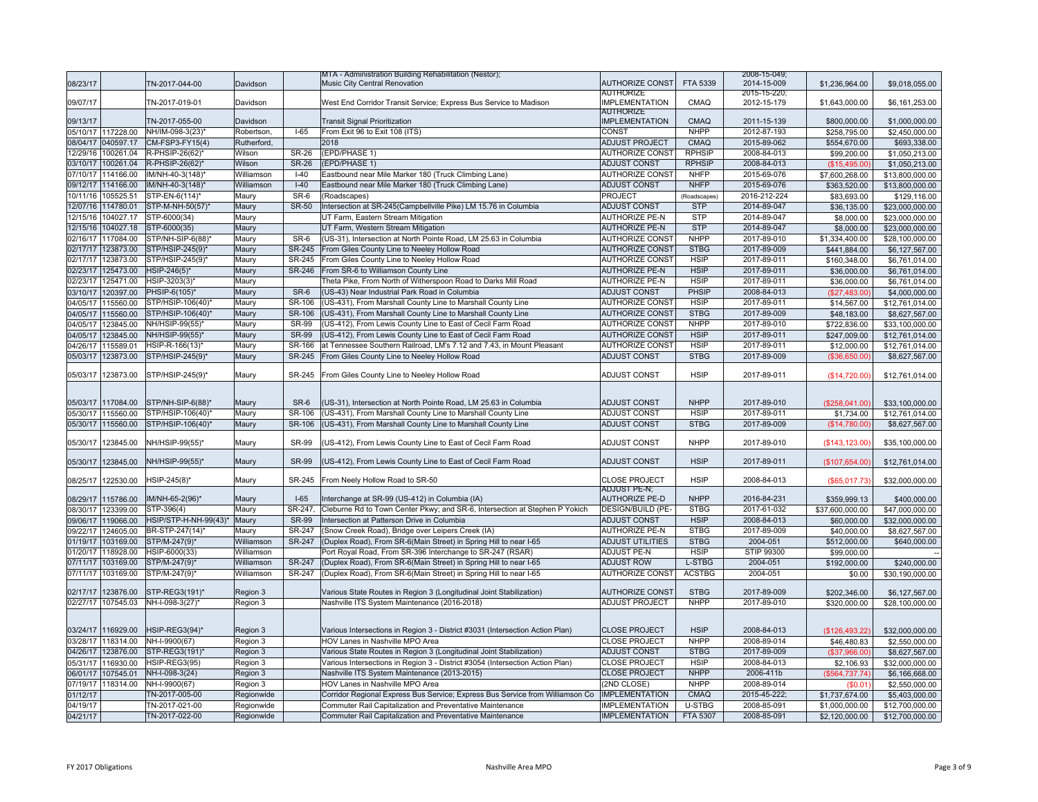|          |                    |                       |             |               | MTA - Administration Building Rehabilitation (Nestor);                        |                          |               | 2008-15-049; |                 |                 |
|----------|--------------------|-----------------------|-------------|---------------|-------------------------------------------------------------------------------|--------------------------|---------------|--------------|-----------------|-----------------|
| 08/23/17 |                    | TN-2017-044-00        | Davidson    |               | Music City Central Renovation                                                 | <b>AUTHORIZE CONST</b>   | FTA 5339      | 2014-15-009  | \$1,236,964.00  | \$9,018,055.00  |
|          |                    |                       |             |               |                                                                               | <b>AUTHORIZE</b>         |               | 2015-15-220; |                 |                 |
| 09/07/17 |                    | TN-2017-019-01        | Davidson    |               | West End Corridor Transit Service; Express Bus Service to Madison             | <b>IMPLEMENTATION</b>    | CMAQ          | 2012-15-179  | \$1,643,000.00  | \$6,161,253.00  |
|          |                    |                       |             |               |                                                                               | <b>AUTHORIZE</b>         |               |              |                 |                 |
| 09/13/17 |                    | TN-2017-055-00        | Davidson    |               | <b>Transit Signal Prioritization</b>                                          | <b>IMPLEMENTATION</b>    | <b>CMAQ</b>   | 2011-15-139  | \$800,000.00    | \$1,000,000.00  |
|          | 05/10/17 117228.00 | NH/IM-098-3(23)*      | Robertson,  | $I-65$        | From Exit 96 to Exit 108 (ITS)                                                | CONST                    | <b>NHPP</b>   | 2012-87-193  | \$258,795.00    | \$2,450,000.00  |
|          | 08/04/17 040597.17 | CM-FSP3-FY15(4)       | Rutherford. |               | 2018                                                                          | <b>ADJUST PROJECT</b>    | CMAQ          | 2015-89-062  | \$554,670.00    | \$693,338.00    |
| 12/29/16 | 100261.04          | R-PHSIP-26(62)*       | Wilson      | <b>SR-26</b>  | (EPD/PHASE 1)                                                                 | <b>AUTHORIZE CONST</b>   | <b>RPHSIP</b> | 2008-84-013  | \$99,200.00     | \$1.050.213.00  |
|          | 03/10/17 100261.04 | R-PHSIP-26(62)*       | Wilson      | <b>SR-26</b>  | (EPD/PHASE 1)                                                                 | <b>ADJUST CONST</b>      | <b>RPHSIP</b> | 2008-84-013  |                 |                 |
|          |                    |                       |             |               |                                                                               |                          |               |              | (\$15,495.00)   | \$1,050,213.00  |
|          | 07/10/17 114166.00 | IM/NH-40-3(148)*      | Williamson  | $I-40$        | Eastbound near Mile Marker 180 (Truck Climbing Lane)                          | <b>AUTHORIZE CONST</b>   | <b>NHFP</b>   | 2015-69-076  | \$7,600,268.00  | \$13,800,000.00 |
|          | 09/12/17 114166.00 | IM/NH-40-3(148)*      | Williamson  | $I-40$        | Eastbound near Mile Marker 180 (Truck Climbing Lane)                          | <b>ADJUST CONST</b>      | <b>NHFP</b>   | 2015-69-076  | \$363,520.00    | \$13,800,000.00 |
| 10/11/16 | 105525.51          | STP-EN-6(114)*        | Maury       | SR-6          | (Roadscapes)                                                                  | PROJECT                  | (Roadscapes)  | 2016-212-224 | \$83,693.00     | \$129,116.00    |
| 12/07/16 | 114780.01          | STP-M-NH-50(57)*      | Maury       | <b>SR-50</b>  | Intersection at SR-245(Campbellville Pike) LM 15.76 in Columbia               | <b>ADJUST CONST</b>      | <b>STP</b>    | 2014-89-047  | \$36,135.00     | \$23,000,000.00 |
| 12/15/16 | 104027.17          | STP-6000(34)          | Maury       |               | UT Farm. Eastern Stream Mitigation                                            | <b>AUTHORIZE PE-N</b>    | <b>STP</b>    | 2014-89-047  | \$8,000.00      | \$23,000,000.00 |
| 12/15/16 | 104027.18          | STP-6000(35)          | Maury       |               | UT Farm, Western Stream Mitigation                                            | <b>AUTHORIZE PE-N</b>    | <b>STP</b>    | 2014-89-047  | \$8,000.00      | \$23,000,000.00 |
|          | 02/16/17 117084.00 | STP/NH-SIP-6(88)*     | Maury       | SR-6          | (US-31), Intersection at North Pointe Road, LM 25.63 in Columbia              | <b>AUTHORIZE CONST</b>   | <b>NHPP</b>   | 2017-89-010  | \$1,334,400.00  | \$28,100,000.00 |
| 02/17/17 | 123873.00          | STP/HSIP-245(9)*      | Maury       | SR-245        | From Giles County Line to Neeley Hollow Road                                  | <b>AUTHORIZE CONST</b>   | <b>STBG</b>   | 2017-89-009  | \$441,884.00    | \$6,127,567.00  |
|          | 02/17/17 123873.00 | STP/HSIP-245(9)*      | Maury       | SR-245        | From Giles County Line to Neeley Hollow Road                                  | <b>AUTHORIZE CONST</b>   | <b>HSIP</b>   | 2017-89-011  | \$160,348.00    | \$6,761,014.00  |
| 02/23/17 | 125473.00          | HSIP-246(5)*          | Maury       | SR-246        | From SR-6 to Williamson County Line                                           | <b>AUTHORIZE PE-N</b>    | <b>HSIP</b>   | 2017-89-011  |                 |                 |
|          |                    |                       |             |               |                                                                               |                          |               |              | \$36,000.00     | \$6,761,014.00  |
| 02/23/17 | 125471.00          | HSIP-3203(3)*         | Maury       |               | Theta Pike, From North of Witherspoon Road to Darks Mill Road                 | <b>AUTHORIZE PE-N</b>    | <b>HSIP</b>   | 2017-89-011  | \$36,000.00     | \$6,761,014.00  |
| 03/10/17 | 120397.00          | PHSIP-6(105)*         | Maury       | SR-6          | (US-43) Near Industrial Park Road in Columbia                                 | <b>ADJUST CONST</b>      | PHSIP         | 2008-84-013  | (\$27,483.00)   | \$4,000,000.00  |
|          | 04/05/17 115560.00 | STP/HSIP-106(40)*     | Maury       | SR-106        | (US-431), From Marshall County Line to Marshall County Line                   | <b>AUTHORIZE CONST</b>   | <b>HSIP</b>   | 2017-89-011  | \$14,567.00     | \$12,761,014.00 |
| 04/05/17 | 115560.00          | STP/HSIP-106(40)*     | Maury       | SR-106        | (US-431), From Marshall County Line to Marshall County Line                   | <b>AUTHORIZE CONST</b>   | <b>STBG</b>   | 2017-89-009  | \$48,183.00     | \$8,627,567.00  |
| 04/05/17 | 123845.00          | NH/HSIP-99(55)*       | Maury       | <b>SR-99</b>  | (US-412), From Lewis County Line to East of Cecil Farm Road                   | <b>AUTHORIZE CONST</b>   | <b>NHPP</b>   | 2017-89-010  | \$722,836.00    | \$33,100,000.00 |
| 04/05/17 | 123845.00          | NH/HSIP-99(55)*       | Maury       | <b>SR-99</b>  | (US-412), From Lewis County Line to East of Cecil Farm Road                   | <b>AUTHORIZE CONST</b>   | <b>HSIP</b>   | 2017-89-011  | \$247,009.00    | \$12,761,014.00 |
|          | 04/26/17 115589.01 | HSIP-R-166(13)*       | Maury       | SR-166        | at Tennessee Southern Railroad, LM's 7.12 and 7.43, in Mount Pleasant         | <b>AUTHORIZE CONST</b>   | <b>HSIP</b>   | 2017-89-011  | \$12,000.00     | \$12,761,014.00 |
| 05/03/17 | 123873.00          | STP/HSIP-245(9)*      | Maury       | SR-245        | From Giles County Line to Neeley Hollow Road                                  | <b>ADJUST CONST</b>      | <b>STBG</b>   | 2017-89-009  | (\$36,650.00)   | \$8,627,567.00  |
|          |                    |                       |             |               |                                                                               |                          |               |              |                 |                 |
|          | 05/03/17 123873.00 | STP/HSIP-245(9)*      | Maury       | SR-245        | From Giles County Line to Neeley Hollow Road                                  | <b>ADJUST CONST</b>      | <b>HSIP</b>   | 2017-89-011  | (\$14,720.00)   | \$12,761,014.00 |
|          |                    |                       |             |               |                                                                               |                          |               |              |                 |                 |
|          |                    |                       |             |               |                                                                               |                          |               |              |                 |                 |
|          | 05/03/17 117084.00 | STP/NH-SIP-6(88)*     | Maury       | SR-6          | (US-31), Intersection at North Pointe Road, LM 25.63 in Columbia              | <b>ADJUST CONST</b>      | <b>NHPP</b>   | 2017-89-010  | (\$258,041.00)  | \$33,100,000.00 |
|          | 05/30/17 115560.00 | STP/HSIP-106(40)*     | Maury       | SR-106        | (US-431), From Marshall County Line to Marshall County Line                   | <b>ADJUST CONST</b>      | <b>HSIP</b>   | 2017-89-011  | \$1,734.00      | \$12.761.014.00 |
| 05/30/17 | 115560.00          | STP/HSIP-106(40)*     | Maury       | SR-106        | (US-431), From Marshall County Line to Marshall County Line                   | <b>ADJUST CONST</b>      | <b>STBG</b>   | 2017-89-009  | (S14.780.00)    | \$8,627,567.00  |
|          |                    |                       |             |               |                                                                               |                          |               |              |                 |                 |
|          | 05/30/17 123845.00 | NH/HSIP-99(55)*       | Maury       | <b>SR-99</b>  | (US-412), From Lewis County Line to East of Cecil Farm Road                   | <b>ADJUST CONST</b>      | <b>NHPP</b>   | 2017-89-010  | (S143, 123.00)  | \$35,100,000.00 |
|          |                    |                       |             |               |                                                                               |                          |               |              |                 |                 |
|          | 05/30/17 123845.00 | NH/HSIP-99(55)*       | Maury       | <b>SR-99</b>  | (US-412), From Lewis County Line to East of Cecil Farm Road                   | <b>ADJUST CONST</b>      | <b>HSIP</b>   | 2017-89-011  | (\$107,654.00)  | \$12,761,014.00 |
|          |                    |                       |             |               |                                                                               |                          |               |              |                 |                 |
|          | 08/25/17 122530.00 | HSIP-245(8)*          | Maury       | SR-245        | From Neely Hollow Road to SR-50                                               | <b>CLOSE PROJECT</b>     | <b>HSIP</b>   | 2008-84-013  | (\$65,017.73)   | \$32,000,000.00 |
|          |                    |                       |             |               |                                                                               | ADJUST PE-N;             |               |              |                 |                 |
|          | 08/29/17 115786.00 | IM/NH-65-2(96)*       | Maury       | $I-65$        | Interchange at SR-99 (US-412) in Columbia (IA)                                | <b>AUTHORIZE PE-D</b>    | <b>NHPP</b>   | 2016-84-231  | \$359,999.13    | \$400,000.00    |
|          | 08/30/17 123399.00 | STP-396(4)            | Maury       | SR-247.       | Cleburne Rd to Town Center Pkwy; and SR-6, Intersection at Stephen P Yokich   | <b>DESIGN/BUILD (PE-</b> | <b>STBG</b>   | 2017-61-032  | \$37,600,000.00 | \$47,000,000.00 |
|          | 09/06/17 119066.00 | HSIP/STP-H-NH-99(43)* | Maury       | <b>SR-99</b>  | Intersection at Patterson Drive in Columbia                                   | <b>ADJUST CONST</b>      | <b>HSIP</b>   | 2008-84-013  | \$60,000.00     | \$32,000,000.00 |
| 09/22/17 | 124605.00          | BR-STP-247(14)*       | Maury       | SR-247        | (Snow Creek Road), Bridge over Leipers Creek (IA)                             | <b>AUTHORIZE PE-N</b>    | <b>STBG</b>   | 2017-89-009  | \$40,000.00     | \$8,627,567.00  |
| 01/19/17 | 103169.00          | STP/M-247(9)*         | Williamson  | SR-247        | (Duplex Road), From SR-6(Main Street) in Spring Hill to near I-65             | <b>ADJUST UTILITIES</b>  | <b>STBG</b>   | 2004-051     | \$512,000.00    | \$640,000.00    |
|          | 01/20/17 118928.00 | HSIP-6000(33)         | Williamson  |               | Port Royal Road, From SR-396 Interchange to SR-247 (RSAR)                     | <b>ADJUST PE-N</b>       | <b>HSIP</b>   | STIP 99300   | \$99,000.00     |                 |
| 07/11/17 | 103169.00          | STP/M-247(9)*         | Williamson  | SR-247        | (Duplex Road), From SR-6(Main Street) in Spring Hill to near I-65             | <b>ADJUST ROW</b>        | L-STBG        | 2004-051     | \$192,000.00    | \$240,000.00    |
| 07/11/17 | 103169.00          | STP/M-247(9)*         | Williamson  | <b>SR-247</b> | (Duplex Road), From SR-6(Main Street) in Spring Hill to near I-65             | <b>AUTHORIZE CONST</b>   | <b>ACSTBG</b> | 2004-051     | \$0.00          | \$30,190,000.00 |
|          |                    |                       |             |               |                                                                               |                          |               |              |                 |                 |
| 02/17/17 | 123876.00          | STP-REG3(191)*        | Region 3    |               | Various State Routes in Region 3 (Longitudinal Joint Stabilization)           | <b>AUTHORIZE CONST</b>   | <b>STBG</b>   | 2017-89-009  | \$202,346.00    | \$6,127,567.00  |
| 02/27/17 | 107545.03          | NH-I-098-3(27)*       | Region 3    |               | Nashville ITS System Maintenance (2016-2018)                                  | <b>ADJUST PROJECT</b>    | <b>NHPP</b>   | 2017-89-010  | \$320,000.00    | \$28,100,000.00 |
|          |                    |                       |             |               |                                                                               |                          |               |              |                 |                 |
|          |                    |                       |             |               |                                                                               |                          |               |              |                 |                 |
|          | 03/24/17 116929.00 | HSIP-REG3(94)*        | Region 3    |               | Various Intersections in Region 3 - District #3031 (Intersection Action Plan) | <b>CLOSE PROJECT</b>     | <b>HSIP</b>   | 2008-84-013  | (\$126,493.22)  | \$32,000,000.00 |
|          | 03/28/17 118314.00 | NH-I-9900(67)         | Region 3    |               | HOV Lanes in Nashville MPO Area                                               | <b>CLOSE PROJECT</b>     | <b>NHPP</b>   | 2008-89-014  | \$46,480.83     | \$2,550,000.00  |
| 04/26/17 | 123876.00          | STP-REG3(191)*        | Region 3    |               | Various State Routes in Region 3 (Longitudinal Joint Stabilization)           | <b>ADJUST CONST</b>      | <b>STBG</b>   | 2017-89-009  | (\$37,966.00)   | \$8,627,567.00  |
|          | 05/31/17 116930.00 | HSIP-REG3(95)         | Region 3    |               | Various Intersections in Region 3 - District #3054 (Intersection Action Plan) | <b>CLOSE PROJECT</b>     | <b>HSIP</b>   | 2008-84-013  | \$2,106.93      | \$32,000,000.00 |
|          |                    |                       |             |               |                                                                               |                          | <b>NHPP</b>   |              |                 |                 |
|          | 06/01/17 107545.01 | NH-I-098-3(24)        | Region 3    |               | Nashville ITS System Maintenance (2013-2015)                                  | <b>CLOSE PROJECT</b>     |               | 2006-411b    | (\$564,737.74)  | \$6,166,668.00  |
|          | 07/19/17 118314.00 | NH-I-9900(67)         | Region 3    |               | HOV Lanes in Nashville MPO Area                                               | (2ND CLOSE)              | <b>NHPP</b>   | 2008-89-014  | \$0.01]         | \$2,550,000.00  |
| 01/12/17 |                    | TN-2017-005-00        | Regionwide  |               | Corridor Regional Express Bus Service; Express Bus Service from Williamson Co | <b>IMPLEMENTATION</b>    | CMAQ          | 2015-45-222; | \$1,737,674.00  | \$5,403,000.00  |
| 04/19/17 |                    | TN-2017-021-00        | Regionwide  |               | Commuter Rail Capitalization and Preventative Maintenance                     | <b>IMPLEMENTATION</b>    | U-STBG        | 2008-85-091  | \$1,000,000.00  | \$12,700,000.00 |
| 04/21/17 |                    | TN-2017-022-00        | Regionwide  |               | Commuter Rail Capitalization and Preventative Maintenance                     | <b>IMPLEMENTATION</b>    | FTA 5307      | 2008-85-091  | \$2,120,000.00  | \$12,700,000.00 |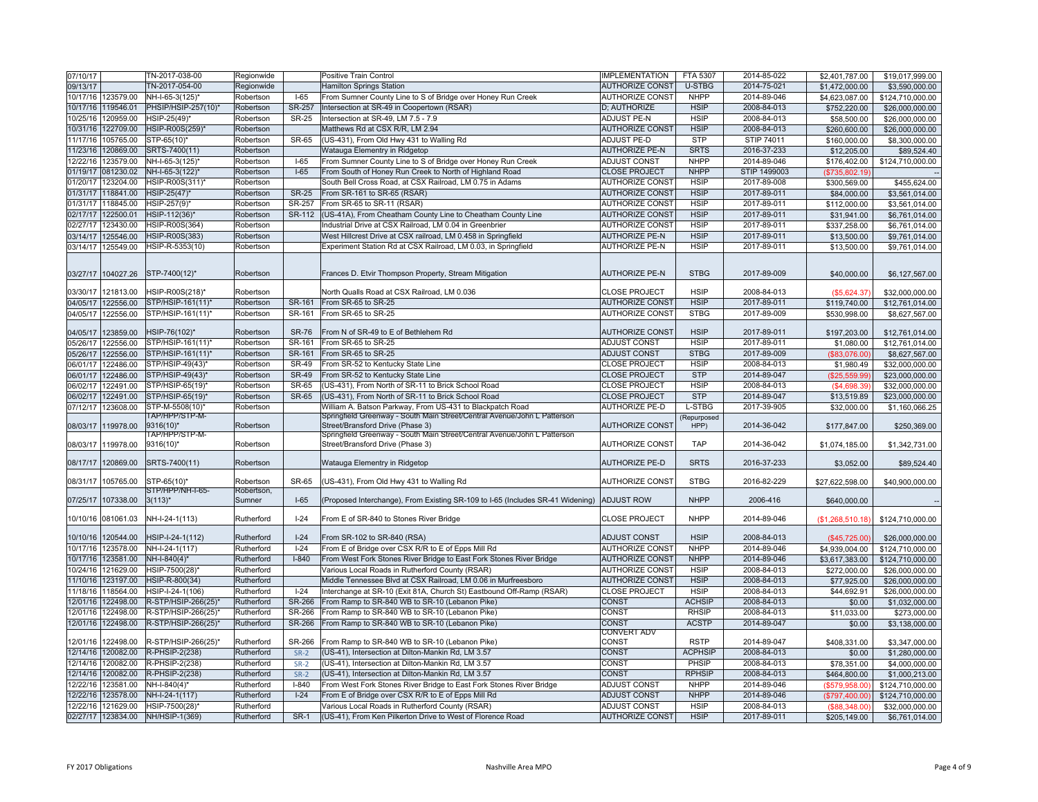| 07/10/17           |                    | TN-2017-038-00      | Regionwide |               | Positive Train Control                                                         | <b>IMPLEMENTATION</b>  | FTA 5307       | 2014-85-022  | \$2,401,787.00        | \$19,017,999.00  |
|--------------------|--------------------|---------------------|------------|---------------|--------------------------------------------------------------------------------|------------------------|----------------|--------------|-----------------------|------------------|
| 09/13/17           |                    | TN-2017-054-00      | Regionwide |               | <b>Hamilton Springs Station</b>                                                | <b>AUTHORIZE CONST</b> | U-STBG         | 2014-75-021  | \$1,472,000.00        | \$3,590,000.00   |
| 10/17/16           | 123579.00          | NH-I-65-3(125)*     | Robertson  | $I-65$        | From Sumner County Line to S of Bridge over Honey Run Creek                    | <b>AUTHORIZE CONST</b> | <b>NHPP</b>    | 2014-89-046  | \$4,623,087.00        | \$124,710,000.00 |
| 10/17/16 119546.01 |                    | PHSIP/HSIP-257(10)* | Robertson  | <b>SR-257</b> | Intersection at SR-49 in Coopertown (RSAR)                                     | D; AUTHORIZE           | <b>HSIP</b>    | 2008-84-013  | \$752,220.00          | \$26,000,000.00  |
| 10/25/16           | 120959.00          | HSIP-25(49)*        | Robertson  | <b>SR-25</b>  | Intersection at SR-49, LM 7.5 - 7.9                                            | ADJUST PE-N            | <b>HSIP</b>    | 2008-84-013  | \$58,500.00           | \$26,000,000.00  |
| 10/31/16           | 122709.00          | HSIP-R00S(259)*     | Robertson  |               | Matthews Rd at CSX R/R, LM 2.94                                                | <b>AUTHORIZE CONST</b> | <b>HSIP</b>    | 2008-84-013  | \$260,600.00          | \$26,000,000.00  |
| 11/17/16           | 105765.00          | STP-65(10)*         | Robertson  | SR-65         | (US-431), From Old Hwy 431 to Walling Rd                                       | <b>ADJUST PE-D</b>     | <b>STP</b>     | STIP 74011   | \$160,000.00          | \$8,300,000.00   |
| 11/23/16           | 120869.00          | SRTS-7400(11)       | Robertson  |               | Watauga Elementry in Ridgetop                                                  | <b>AUTHORIZE PE-N</b>  | <b>SRTS</b>    | 2016-37-233  | \$12,205.00           | \$89,524.40      |
| 12/22/16           | 123579.00          | NH-I-65-3(125)*     | Robertson  | $I-65$        | From Sumner County Line to S of Bridge over Honey Run Creek                    | <b>ADJUST CONST</b>    | <b>NHPP</b>    | 2014-89-046  | \$176,402.00          | \$124,710,000.00 |
| 01/19/17 081230.02 |                    | NH-I-65-3(122)*     | Robertson  | $I-65$        | From South of Honey Run Creek to North of Highland Road                        | <b>CLOSE PROJECT</b>   | <b>NHPP</b>    | STIP 1499003 | (\$735,802.19)        |                  |
| 01/20/17 123204.00 |                    | HSIP-R00S(311)'     | Robertson  |               | South Bell Cross Road, at CSX Railroad, LM 0.75 in Adams                       | <b>AUTHORIZE CONST</b> | <b>HSIP</b>    | 2017-89-008  | \$300,569.00          | \$455,624.00     |
| 01/31/17 118841.00 |                    | HSIP-25(47)*        | Robertson  | <b>SR-25</b>  | From SR-161 to SR-65 (RSAR)                                                    | <b>AUTHORIZE CONST</b> | <b>HSIP</b>    | 2017-89-011  | \$84,000.00           | \$3,561,014.00   |
| 01/31/17 118845.00 |                    | HSIP-257(9)*        | Robertson  | SR-257        | From SR-65 to SR-11 (RSAR)                                                     | <b>AUTHORIZE CONST</b> | <b>HSIP</b>    | 2017-89-011  | \$112,000.00          | \$3,561,014.00   |
| 02/17/17           | 122500.01          | HSIP-112(36)*       | Robertson  | SR-112        | (US-41A), From Cheatham County Line to Cheatham County Line                    | <b>AUTHORIZE CONST</b> | <b>HSIP</b>    | 2017-89-011  | \$31,941.00           | \$6,761,014.00   |
| 02/27/17           | 123430.00          | HSIP-R00S(364)      | Robertson  |               | Industrial Drive at CSX Railroad, LM 0.04 in Greenbrier                        | <b>AUTHORIZE CONST</b> | <b>HSIP</b>    | 2017-89-011  | \$337,258.00          | \$6,761,014.00   |
| 03/14/17           | 125546.00          | HSIP-R00S(383)      | Robertson  |               | West Hillcrest Drive at CSX railroad, LM 0.458 in Springfield                  | <b>AUTHORIZE PE-N</b>  | <b>HSIP</b>    | 2017-89-011  | \$13,500.00           | \$9,761,014.00   |
| 03/14/17 125549.00 |                    | HSIP-R-5353(10)     | Robertson  |               | Experiment Station Rd at CSX Railroad, LM 0.03, in Springfield                 | <b>AUTHORIZE PE-N</b>  | <b>HSIP</b>    | 2017-89-011  | \$13,500.00           | \$9,761,014.00   |
|                    |                    |                     |            |               |                                                                                |                        |                |              |                       |                  |
| 03/27/17 104027.26 |                    | STP-7400(12)*       | Robertson  |               | Frances D. Etvir Thompson Property, Stream Mitigation                          | <b>AUTHORIZE PE-N</b>  | <b>STBG</b>    | 2017-89-009  | \$40,000.00           | \$6,127,567.00   |
|                    |                    |                     |            |               |                                                                                |                        |                |              |                       |                  |
| 03/30/17           | 121813.00          | HSIP-R00S(218)*     | Robertson  |               | North Qualls Road at CSX Railroad, LM 0.036                                    | <b>CLOSE PROJECT</b>   | <b>HSIP</b>    | 2008-84-013  | (\$5,624.37)          | \$32,000,000.00  |
| 04/05/17           | 122556.00          | STP/HSIP-161(11)*   | Robertson  | SR-161        | From SR-65 to SR-25                                                            | <b>AUTHORIZE CONST</b> | <b>HSIP</b>    | 2017-89-011  | \$119,740.00          | \$12,761,014.00  |
| 04/05/17           | 122556.00          | STP/HSIP-161(11)*   | Robertson  | SR-161        | From SR-65 to SR-25                                                            | <b>AUTHORIZE CONST</b> | <b>STBG</b>    | 2017-89-009  | \$530,998.00          | \$8,627,567.00   |
| 04/05/17           | 123859.00          | HSIP-76(102)*       | Robertson  | <b>SR-76</b>  | From N of SR-49 to E of Bethlehem Rd                                           | <b>AUTHORIZE CONST</b> | <b>HSIP</b>    | 2017-89-011  | \$197,203.00          | \$12,761,014.00  |
| 05/26/17 122556.00 |                    | STP/HSIP-161(11)*   | Robertson  | SR-161        | From SR-65 to SR-25                                                            | <b>ADJUST CONST</b>    | <b>HSIP</b>    | 2017-89-011  | \$1,080.00            | \$12,761,014.00  |
| 05/26/17           | 122556.00          | STP/HSIP-161(11)*   | Robertson  | SR-161        | From SR-65 to SR-25                                                            | <b>ADJUST CONST</b>    | <b>STBG</b>    | 2017-89-009  | (\$83,076.00)         | \$8,627,567.00   |
| 06/01/17           | 122486.00          | STP/HSIP-49(43)*    | Robertson  | <b>SR-49</b>  | From SR-52 to Kentucky State Line                                              | <b>CLOSE PROJECT</b>   | <b>HSIP</b>    | 2008-84-013  | \$1,980.49            | \$32,000,000.00  |
| 06/01/17           | 122486.00          | STP/HSIP-49(43)*    | Robertson  | <b>SR-49</b>  | From SR-52 to Kentucky State Line                                              | <b>CLOSE PROJECT</b>   | <b>STP</b>     | 2014-89-047  | (\$25,559.99)         | \$23,000,000.00  |
| 06/02/17           | 122491.00          | STP/HSIP-65(19)*    | Robertson  | <b>SR-65</b>  | (US-431). From North of SR-11 to Brick School Road                             | <b>CLOSE PROJECT</b>   | <b>HSIP</b>    | 2008-84-013  | (\$4,698.39)          | \$32,000,000.00  |
| 06/02/17           | 122491.00          | STP/HSIP-65(19)*    | Robertson  | <b>SR-65</b>  | (US-431), From North of SR-11 to Brick School Road                             | <b>CLOSE PROJECT</b>   | <b>STP</b>     | 2014-89-047  | \$13,519.89           | \$23,000,000.00  |
| 07/12/17           | 123608.00          | STP-M-5508(10)*     | Robertson  |               | William A. Batson Parkway, From US-431 to Blackpatch Road                      | <b>AUTHORIZE PE-D</b>  | L-STBG         | 2017-39-905  | \$32,000.00           | \$1,160,066.25   |
|                    |                    | TAP/HPP/STP-M-      |            |               | Springfield Greenway - South Main Street/Central Avenue/John L Patterson       |                        | (Repurposed    |              |                       |                  |
| 08/03/17           | 119978.00          | 9316(10)*           | Robertson  |               | Street/Bransford Drive (Phase 3)                                               | <b>AUTHORIZE CONST</b> | HPP)           | 2014-36-042  | \$177,847.00          | \$250,369.00     |
|                    |                    | TAP/HPP/STP-M-      |            |               | Springfield Greenway - South Main Street/Central Avenue/John L Patterson       |                        |                |              |                       |                  |
| 08/03/17 119978.00 |                    | 9316(10)*           | Robertson  |               | Street/Bransford Drive (Phase 3)                                               | AUTHORIZE CONST        | <b>TAP</b>     | 2014-36-042  | \$1,074,185.00        | \$1,342,731.00   |
| 08/17/17 120869.00 |                    | SRTS-7400(11)       | Robertson  |               | Watauga Elementry in Ridgetop                                                  | <b>AUTHORIZE PE-D</b>  | <b>SRTS</b>    | 2016-37-233  | \$3,052.00            | \$89,524.40      |
|                    |                    |                     |            |               |                                                                                |                        |                |              |                       |                  |
| 08/31/17           | 105765.00          | STP-65(10)*         | Robertson  | SR-65         | (US-431), From Old Hwy 431 to Walling Rd                                       | <b>AUTHORIZE CONST</b> | <b>STBG</b>    | 2016-82-229  | \$27,622,598.00       | \$40,900,000.00  |
|                    |                    | STP/HPP/NH-I-65-    | Robertson, |               |                                                                                |                        |                |              |                       |                  |
| 07/25/17           | 107338.00          | $3(113)^{*}$        | Sumner     | $I-65$        | (Proposed Interchange), From Existing SR-109 to I-65 (Includes SR-41 Widening) | <b>ADJUST ROW</b>      | <b>NHPP</b>    | 2006-416     | \$640,000.00          |                  |
|                    |                    |                     |            |               |                                                                                |                        |                |              |                       |                  |
| 10/10/16 081061.03 |                    | NH-I-24-1(113)      | Rutherford | $ -24$        | From E of SR-840 to Stones River Bridge                                        | <b>CLOSE PROJECT</b>   | <b>NHPP</b>    | 2014-89-046  | (\$1,268,510.18)      | \$124,710,000.00 |
| 10/10/16 120544.00 |                    | HSIP-I-24-1(112)    | Rutherford | $I-24$        | From SR-102 to SR-840 (RSA)                                                    | <b>ADJUST CONST</b>    | <b>HSIP</b>    | 2008-84-013  | (\$45,725.00)         | \$26,000,000.00  |
| 10/17/16           | 123578.00          | NH-I-24-1(117)      | Rutherford | $-24$         | From E of Bridge over CSX R/R to E of Epps Mill Rd                             | <b>AUTHORIZE CONST</b> | <b>NHPP</b>    | 2014-89-046  | \$4.939.004.00        | \$124.710.000.00 |
| 10/17/16           | 123581.00          | NH-I-840(4)*        | Rutherford | $I-840$       | From West Fork Stones River Bridge to East Fork Stones River Bridge            | <b>AUTHORIZE CONST</b> | <b>NHPP</b>    | 2014-89-046  | \$3,617,383,00        | \$124.710.000.00 |
| 10/24/16           | 121629.00          | HSIP-7500(28)*      | Rutherford |               | Various Local Roads in Rutherford County (RSAR)                                | <b>AUTHORIZE CONST</b> | <b>HSIP</b>    | 2008-84-013  | \$272,000.00          | \$26,000,000.00  |
| 11/10/16 123197.00 |                    | HSIP-R-800(34)      | Rutherford |               | Middle Tennessee Blvd at CSX Railroad, LM 0.06 in Murfreesboro                 | <b>AUTHORIZE CONST</b> | <b>HSIP</b>    | 2008-84-013  | \$77,925.00           | \$26,000,000.00  |
| 11/18/16           | 118564.00          | HSIP-I-24-1(106)    | Rutherford | $I-24$        | Interchange at SR-10 (Exit 81A, Church St) Eastbound Off-Ramp (RSAR)           | <b>CLOSE PROJECT</b>   | <b>HSIP</b>    | 2008-84-013  | \$44,692.91           | \$26,000,000.00  |
| 12/01/16           | 122498.00          | R-STP/HSIP-266(25)  | Rutherford | SR-266        | From Ramp to SR-840 WB to SR-10 (Lebanon Pike)                                 | <b>CONST</b>           | <b>ACHSIP</b>  | 2008-84-013  | \$0.00                | \$1,032,000.00   |
| 12/01/16           | 122498.00          | R-STP/HSIP-266(25)  | Rutherford | SR-266        | From Ramp to SR-840 WB to SR-10 (Lebanon Pike)                                 | CONST                  | <b>RHSIP</b>   | 2008-84-013  |                       |                  |
| 12/01/16 122498.00 |                    | R-STP/HSIP-266(25)  | Rutherford | SR-266        | From Ramp to SR-840 WB to SR-10 (Lebanon Pike)                                 | <b>CONST</b>           | <b>ACSTP</b>   | 2014-89-047  | \$11,033.00<br>\$0.00 | \$273,000.00     |
|                    |                    |                     |            |               |                                                                                | CONVERT ADV            |                |              |                       | \$3,138,000.00   |
| 12/01/16 122498.00 |                    | R-STP/HSIP-266(25)* | Rutherford | SR-266        | From Ramp to SR-840 WB to SR-10 (Lebanon Pike)                                 | <b>CONST</b>           | <b>RSTP</b>    | 2014-89-047  | \$408,331.00          | \$3,347,000.00   |
| 12/14/16 120082.00 |                    | R-PHSIP-2(238)      | Rutherford | $SR-2$        | (US-41), Intersection at Dilton-Mankin Rd, LM 3.57                             | <b>CONST</b>           | <b>ACPHSIP</b> | 2008-84-013  | \$0.00                | \$1,280,000.00   |
| 12/14/16           | 120082.00          | R-PHSIP-2(238)      | Rutherford | $SR-2$        | (US-41), Intersection at Dilton-Mankin Rd, LM 3.57                             | <b>CONST</b>           | PHSIP          | 2008-84-013  | \$78,351.00           | \$4,000,000.00   |
| 12/14/16           | 120082.00          | R-PHSIP-2(238)      | Rutherford | $SR-2$        | (US-41), Intersection at Dilton-Mankin Rd, LM 3.57                             | <b>CONST</b>           | <b>RPHSIP</b>  | 2008-84-013  | \$464,800.00          | \$1,000,213.00   |
| 12/22/16           | 123581.00          | NH-I-840(4)*        | Rutherford | $I - 840$     | From West Fork Stones River Bridge to East Fork Stones River Bridge            | <b>ADJUST CONST</b>    | <b>NHPP</b>    | 2014-89-046  | (\$579,958.00)        | \$124,710,000.00 |
| 12/22/16           | 123578.00          | NH-I-24-1(117)      | Rutherford | $1 - 24$      | From E of Bridge over CSX R/R to E of Epps Mill Rd                             | <b>ADJUST CONST</b>    | <b>NHPP</b>    | 2014-89-046  | (\$797,400.00)        | \$124,710,000.00 |
| 12/22/16           | 121629.00          | HSIP-7500(28)       | Rutherford |               | Various Local Roads in Rutherford County (RSAR)                                | <b>ADJUST CONST</b>    | <b>HSIP</b>    | 2008-84-013  | (\$88,348.00)         | \$32,000,000.00  |
|                    | 02/27/17 123834.00 | NH/HSIP-1(369)      | Rutherford | <b>SR-1</b>   | (US-41), From Ken Pilkerton Drive to West of Florence Road                     | <b>AUTHORIZE CONST</b> | <b>HSIP</b>    | 2017-89-011  | \$205,149.00          | \$6,761,014.00   |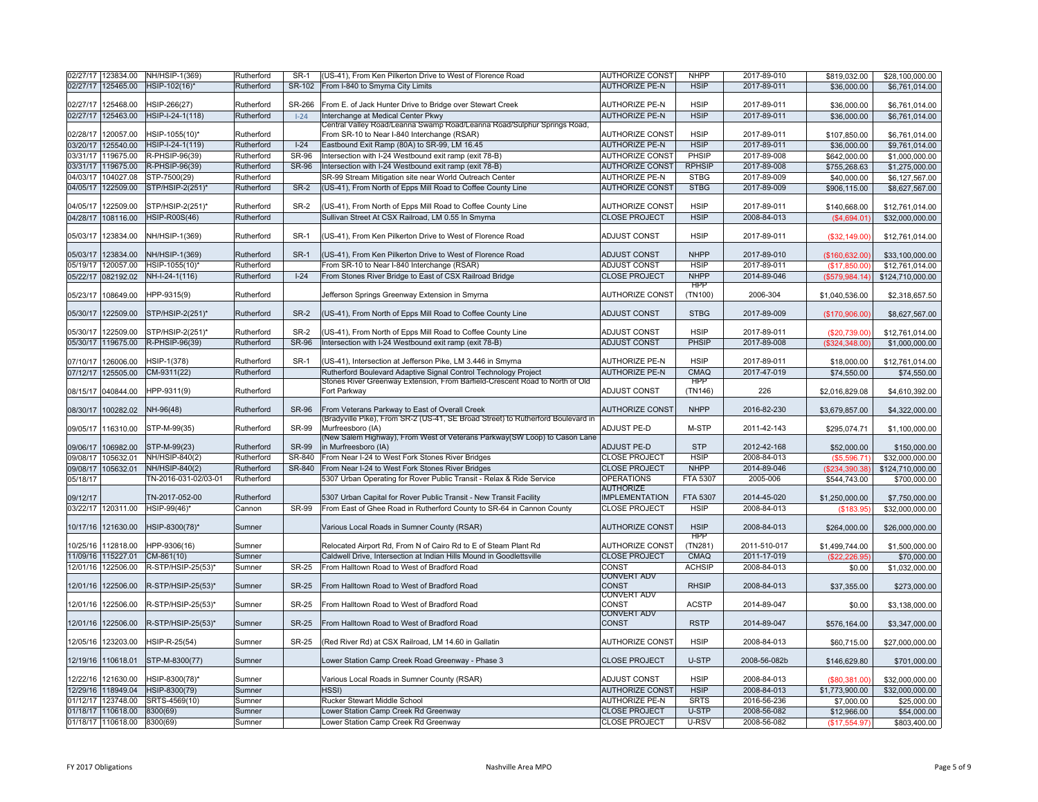|          | 02/27/17 123834.00                       | NH/HSIP-1(369)       | Rutherford       | SR-1         | (US-41), From Ken Pilkerton Drive to West of Florence Road                                                             | <b>AUTHORIZE CONST</b>                       | <b>NHPP</b>    | 2017-89-010                | \$819,032.00                 | \$28,100,000.00             |
|----------|------------------------------------------|----------------------|------------------|--------------|------------------------------------------------------------------------------------------------------------------------|----------------------------------------------|----------------|----------------------------|------------------------------|-----------------------------|
|          | 02/27/17 125465.00                       | HSIP-102(16)*        | Rutherford       | SR-102       | From I-840 to Smyrna City Limits                                                                                       | <b>AUTHORIZE PE-N</b>                        | <b>HSIP</b>    | 2017-89-011                | \$36,000.00                  | \$6,761,014.00              |
|          |                                          |                      |                  |              |                                                                                                                        |                                              |                |                            |                              |                             |
| 02/27/17 | 125468.00                                | HSIP-266(27)         | Rutherford       | SR-266       | From E. of Jack Hunter Drive to Bridge over Stewart Creek                                                              | <b>AUTHORIZE PE-N</b>                        | <b>HSIP</b>    | 2017-89-011                | \$36,000.00                  | \$6,761,014.00              |
|          | 02/27/17 125463.00                       | HSIP-I-24-1(118)     | Rutherford       | $1 - 24$     | Interchange at Medical Center Pkwy                                                                                     | <b>AUTHORIZE PE-N</b>                        | <b>HSIP</b>    | 2017-89-011                | \$36,000.00                  | \$6,761,014.00              |
| 02/28/17 | 120057.00                                | HSIP-1055(10)*       | Rutherford       |              | Central Valley Road/Leanna Swamp Road/Leanna Road/Sulphur Springs Road.<br>From SR-10 to Near I-840 Interchange (RSAR) | <b>AUTHORIZE CONST</b>                       | <b>HSIP</b>    | 2017-89-011                |                              |                             |
|          |                                          | HSIP-I-24-1(119)     | Rutherford       | $I-24$       | Eastbound Exit Ramp (80A) to SR-99, LM 16.45                                                                           | <b>AUTHORIZE PE-N</b>                        | <b>HSIP</b>    | 2017-89-011                | \$107,850.00                 | \$6,761,014.00              |
|          | 03/20/17 125540.00                       |                      |                  |              |                                                                                                                        |                                              |                |                            | \$36,000.00                  | \$9,761,014.00              |
|          | 03/31/17 119675.00                       | R-PHSIP-96(39)       | Rutherford       | <b>SR-96</b> | Intersection with I-24 Westbound exit ramp (exit 78-B)                                                                 | <b>AUTHORIZE CONST</b>                       | PHSIP          | 2017-89-008                | \$642,000.00                 | \$1,000,000.00              |
|          | 03/31/17 119675.00                       | R-PHSIP-96(39)       | Rutherford       | <b>SR-96</b> | Intersection with I-24 Westbound exit ramp (exit 78-B)                                                                 | <b>AUTHORIZE CONST</b>                       | <b>RPHSIP</b>  | 2017-89-008                | \$755,268.63                 | \$1,275,000.00              |
| 04/03/17 | 104027.08                                | STP-7500(29)         | Rutherford       |              | SR-99 Stream Mitigation site near World Outreach Center                                                                | <b>AUTHORIZE PE-N</b>                        | <b>STBG</b>    | 2017-89-009                | \$40,000.00                  | \$6,127,567.00              |
|          | 04/05/17 122509.00                       | STP/HSIP-2(251)*     | Rutherford       | <b>SR-2</b>  | (US-41), From North of Epps Mill Road to Coffee County Line                                                            | <b>AUTHORIZE CONST</b>                       | <b>STBG</b>    | 2017-89-009                | \$906,115.00                 | \$8,627,567.00              |
| 04/05/17 | 122509.00                                | STP/HSIP-2(251)*     | Rutherford       | SR-2         | (US-41), From North of Epps Mill Road to Coffee County Line                                                            | <b>AUTHORIZE CONST</b>                       | <b>HSIP</b>    | 2017-89-011                | \$140,668.00                 | \$12,761,014.00             |
| 04/28/17 | 108116.00                                | <b>HSIP-R00S(46)</b> | Rutherford       |              | Sullivan Street At CSX Railroad, LM 0.55 In Smyrna                                                                     | <b>CLOSE PROJECT</b>                         | <b>HSIP</b>    | 2008-84-013                | (\$4,694.01)                 | \$32,000,000.00             |
|          |                                          |                      |                  |              |                                                                                                                        |                                              |                |                            |                              |                             |
| 05/03/17 | 123834.00                                | NH/HSIP-1(369)       | Rutherford       | <b>SR-1</b>  | (US-41), From Ken Pilkerton Drive to West of Florence Road                                                             | <b>ADJUST CONST</b>                          | <b>HSIP</b>    | 2017-89-011                | (\$32,149.00)                | \$12,761,014.00             |
|          |                                          |                      |                  |              |                                                                                                                        |                                              |                |                            |                              |                             |
| 05/03/17 | 123834.00                                | NH/HSIP-1(369)       | Rutherford       | <b>SR-1</b>  | (US-41), From Ken Pilkerton Drive to West of Florence Road                                                             | <b>ADJUST CONST</b>                          | <b>NHPP</b>    | 2017-89-010                | (\$160.632.00)               | \$33,100,000,00             |
|          | 05/19/17 120057.00                       | HSIP-1055(10)*       | Rutherford       |              | From SR-10 to Near I-840 Interchange (RSAR)                                                                            | <b>ADJUST CONST</b>                          | <b>HSIP</b>    | 2017-89-011                | (\$17,850.00)                | \$12,761,014.00             |
|          | 05/22/17 082192.02                       | NH-I-24-1(116)       | Rutherford       | $1-24$       | From Stones River Bridge to East of CSX Railroad Bridge                                                                | <b>CLOSE PROJECT</b>                         | <b>NHPP</b>    | 2014-89-046                | (\$579,984.14)               | \$124,710,000.00            |
|          |                                          |                      |                  |              |                                                                                                                        |                                              | <b>HPP</b>     |                            |                              |                             |
| 05/23/17 | 108649.00                                | HPP-9315(9)          | Rutherford       |              | Jefferson Springs Greenway Extension in Smyrna                                                                         | <b>AUTHORIZE CONST</b>                       | (TN100)        | 2006-304                   | \$1,040,536.00               | \$2,318,657.50              |
|          |                                          |                      |                  |              |                                                                                                                        |                                              |                |                            |                              |                             |
|          | 05/30/17 122509.00                       | STP/HSIP-2(251)*     | Rutherford       | <b>SR-2</b>  | (US-41), From North of Epps Mill Road to Coffee County Line                                                            | <b>ADJUST CONST</b>                          | <b>STBG</b>    | 2017-89-009                | (\$170,906.00)               | \$8,627,567.00              |
|          | 05/30/17 122509.00                       | STP/HSIP-2(251)*     | Rutherford       | $SR-2$       | (US-41), From North of Epps Mill Road to Coffee County Line                                                            | <b>ADJUST CONST</b>                          | <b>HSIP</b>    | 2017-89-011                | (\$20,739.00)                | \$12,761,014.00             |
|          | 05/30/17 119675.00                       | R-PHSIP-96(39)       | Rutherford       | <b>SR-96</b> | Intersection with I-24 Westbound exit ramp (exit 78-B)                                                                 | <b>ADJUST CONST</b>                          | PHSIP          | 2017-89-008                |                              |                             |
|          |                                          |                      |                  |              |                                                                                                                        |                                              |                |                            | (\$324,348.00)               | \$1,000,000.00              |
|          | 07/10/17 126006.00                       | HSIP-1(378)          | Rutherford       | <b>SR-1</b>  | (US-41), Intersection at Jefferson Pike, LM 3.446 in Smyrna                                                            | <b>AUTHORIZE PE-N</b>                        | <b>HSIP</b>    | 2017-89-011                | \$18,000.00                  | \$12,761,014.00             |
|          | 07/12/17 125505.00                       | CM-9311(22)          | Rutherford       |              | Rutherford Boulevard Adaptive Signal Control Technology Project                                                        | <b>AUTHORIZE PE-N</b>                        | CMAO           | 2017-47-019                | \$74,550.00                  | \$74,550.00                 |
|          |                                          |                      |                  |              | Stones River Greenway Extension, From Barfield-Crescent Road to North of Old                                           |                                              | <b>HPP</b>     |                            |                              |                             |
|          | 08/15/17 040844.00                       | HPP-9311(9)          | Rutherford       |              | Fort Parkway                                                                                                           | <b>ADJUST CONST</b>                          | (TN146)        | 226                        | \$2,016,829.08               | \$4,610,392.00              |
|          |                                          |                      |                  |              |                                                                                                                        |                                              |                |                            |                              |                             |
|          | 08/30/17 100282.02                       | NH-96(48)            | Rutherford       | <b>SR-96</b> | From Veterans Parkway to East of Overall Creek                                                                         | <b>AUTHORIZE CONST</b>                       | <b>NHPP</b>    | 2016-82-230                | \$3,679,857.00               | \$4,322,000.00              |
|          |                                          |                      |                  |              | (Bradyville Pike), From SR-2 (US-41, SE Broad Street) to Rutherford Boulevard in                                       |                                              |                |                            |                              |                             |
|          | 09/05/17 116310.00                       | STP-M-99(35)         | Rutherford       | SR-99        | Murfreesboro (IA)<br>(New Salem Highway), From West of Veterans Parkway(SW Loop) to Cason Lane                         | <b>ADJUST PE-D</b>                           | M-STP          | 2011-42-143                | \$295,074.71                 | \$1,100,000.00              |
| 09/06/17 | 106982.00                                | STP-M-99(23)         | Rutherford       | <b>SR-99</b> | in Murfreesboro (IA)                                                                                                   | <b>ADJUST PE-D</b>                           | <b>STP</b>     | 2012-42-168                | \$52,000.00                  | \$150,000.00                |
| 09/08/17 | 105632.01                                | NH/HSIP-840(2)       | Rutherford       | SR-840       | From Near I-24 to West Fork Stones River Bridges                                                                       | <b>CLOSE PROJECT</b>                         | <b>HSIP</b>    | 2008-84-013                | (\$5,596.71)                 | \$32,000,000.00             |
| 09/08/17 | 105632.01                                | NH/HSIP-840(2)       | Rutherford       | SR-840       | From Near I-24 to West Fork Stones River Bridges                                                                       | <b>CLOSE PROJECT</b>                         | <b>NHPP</b>    | 2014-89-046                | (S234.390.38)                | \$124,710,000.00            |
| 05/18/17 |                                          | TN-2016-031-02/03-01 | Rutherford       |              | 5307 Urban Operating for Rover Public Transit - Relax & Ride Service                                                   | <b>OPERATIONS</b>                            | FTA 5307       | 2005-006                   | \$544,743.00                 | \$700,000.00                |
|          |                                          |                      |                  |              |                                                                                                                        | <b>AUTHORIZE</b>                             |                |                            |                              |                             |
| 09/12/17 |                                          | TN-2017-052-00       | Rutherford       |              | 5307 Urban Capital for Rover Public Transit - New Transit Facility                                                     | <b>IMPLEMENTATION</b>                        | FTA 5307       | 2014-45-020                | \$1,250,000.00               | \$7,750,000.00              |
|          | 03/22/17 120311.00                       | HSIP-99(46)*         | Cannon           | <b>SR-99</b> | From East of Ghee Road in Rutherford County to SR-64 in Cannon County                                                  | <b>CLOSE PROJECT</b>                         | <b>HSIP</b>    | 2008-84-013                | (\$183.95)                   | \$32,000,000.00             |
|          |                                          |                      |                  |              |                                                                                                                        |                                              |                |                            |                              |                             |
|          | 10/17/16 121630.00                       | HSIP-8300(78)*       | Sumner           |              | Various Local Roads in Sumner County (RSAR)                                                                            | <b>AUTHORIZE CONST</b>                       | <b>HSIP</b>    | 2008-84-013                | \$264,000.00                 | \$26,000,000.00             |
|          |                                          |                      |                  |              |                                                                                                                        |                                              | <b>HPP</b>     |                            |                              |                             |
| 10/25/16 | 112818.00                                | HPP-9306(16)         | Sumner           |              | Relocated Airport Rd, From N of Cairo Rd to E of Steam Plant Rd                                                        | AUTHORIZE CONST                              | (TN281)        | 2011-510-017               | \$1,499,744.00               | \$1,500,000.00              |
| 11/09/16 | 115227.01                                | CM-861(10)           | Sumner           |              | Caldwell Drive, Intersection at Indian Hills Mound in Goodlettsville                                                   | <b>CLOSE PROJECT</b>                         | CMAQ           | 2011-17-019                | (\$22, 226.95)               | \$70,000.00                 |
| 12/01/16 | 122506.00                                | R-STP/HSIP-25(53)*   | Sumner           | <b>SR-25</b> | From Halltown Road to West of Bradford Road                                                                            | CONST                                        | <b>ACHSIP</b>  | 2008-84-013                | \$0.00                       | \$1,032,000.00              |
|          |                                          |                      |                  |              |                                                                                                                        | CONVERT ADV                                  |                |                            |                              |                             |
| 12/01/16 | 122506.00                                | R-STP/HSIP-25(53)*   | Sumner           | <b>SR-25</b> | From Halltown Road to West of Bradford Road                                                                            | CONST<br><b>CONVERT ADV</b>                  | <b>RHSIP</b>   | 2008-84-013                | \$37,355.00                  | \$273,000.00                |
|          | 12/01/16 122506.00                       | R-STP/HSIP-25(53)*   | Sumner           | <b>SR-25</b> | From Halltown Road to West of Bradford Road                                                                            | CONST                                        | <b>ACSTP</b>   | 2014-89-047                | \$0.00                       | \$3,138,000.00              |
|          |                                          |                      |                  |              |                                                                                                                        | <b>CONVERT ADV</b>                           |                |                            |                              |                             |
| 12/01/16 | 122506.00                                | R-STP/HSIP-25(53)*   | Sumner           | <b>SR-25</b> | From Halltown Road to West of Bradford Road                                                                            | <b>CONST</b>                                 | <b>RSTP</b>    | 2014-89-047                | \$576,164.00                 | \$3,347,000.00              |
|          |                                          |                      |                  |              |                                                                                                                        |                                              |                |                            |                              |                             |
| 12/05/16 | 123203.00                                | HSIP-R-25(54)        | Sumner           | <b>SR-25</b> | (Red River Rd) at CSX Railroad, LM 14.60 in Gallatin                                                                   | <b>AUTHORIZE CONST</b>                       | <b>HSIP</b>    | 2008-84-013                | \$60,715.00                  | \$27,000,000.00             |
|          |                                          |                      |                  |              |                                                                                                                        |                                              |                |                            |                              |                             |
| 12/19/16 | 110618.01                                | STP-M-8300(77)       | Sumner           |              | Lower Station Camp Creek Road Greenway - Phase 3                                                                       | <b>CLOSE PROJECT</b>                         | U-STP          | 2008-56-082b               | \$146,629.80                 | \$701,000.00                |
|          | 12/22/16 121630.00                       | HSIP-8300(78)*       | Sumner           |              | Various Local Roads in Sumner County (RSAR)                                                                            | <b>ADJUST CONST</b>                          | <b>HSIP</b>    | 2008-84-013                | (\$80,381.00)                | \$32,000,000.00             |
|          |                                          | HSIP-8300(79)        | Sumner           |              | HSSI)                                                                                                                  | <b>AUTHORIZE CONST</b>                       | <b>HSIP</b>    | 2008-84-013                | \$1,773,900.00               | \$32,000,000.00             |
|          |                                          |                      |                  |              |                                                                                                                        |                                              |                |                            |                              |                             |
|          | 12/29/16 118949.04                       |                      |                  |              |                                                                                                                        |                                              |                |                            |                              |                             |
| 01/12/17 | 123748.00                                | SRTS-4569(10)        | Sumner           |              | Rucker Stewart Middle School                                                                                           | <b>AUTHORIZE PE-N</b>                        | <b>SRTS</b>    | 2016-56-236                | \$7,000.00                   | \$25,000.00                 |
|          | 01/18/17 110618.00<br>01/18/17 110618.00 | 8300(69)<br>8300(69) | Sumner<br>Sumner |              | Lower Station Camp Creek Rd Greenway<br>Lower Station Camp Creek Rd Greenway                                           | <b>CLOSE PROJECT</b><br><b>CLOSE PROJECT</b> | U-STP<br>U-RSV | 2008-56-082<br>2008-56-082 | \$12,966.00<br>(\$17,554.97) | \$54,000.00<br>\$803,400.00 |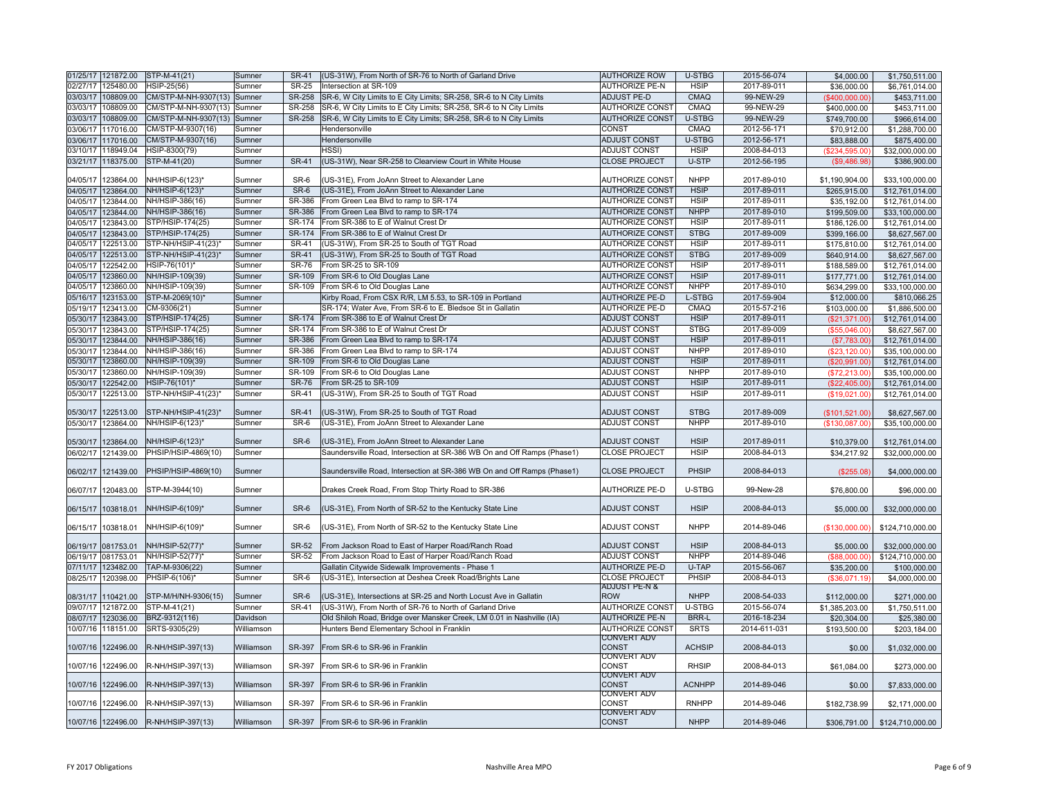|          | 01/25/17 121872.00                       | STP-M-41(21)                         | Sumner           | <b>SR-41</b>     | (US-31W), From North of SR-76 to North of Garland Drive                        | <b>AUTHORIZE ROW</b>                             | U-STBG                     | 2015-56-074                | \$4,000.00                   | \$1,750,511.00                    |
|----------|------------------------------------------|--------------------------------------|------------------|------------------|--------------------------------------------------------------------------------|--------------------------------------------------|----------------------------|----------------------------|------------------------------|-----------------------------------|
|          | 02/27/17 125480.00                       | HSIP-25(56)                          | Sumner           | <b>SR-25</b>     | Intersection at SR-109                                                         | <b>AUTHORIZE PE-N</b>                            | <b>HSIP</b>                | 2017-89-011                | \$36,000.00                  | \$6,761,014.00                    |
|          | 03/03/17 108809.00                       | CM/STP-M-NH-9307(13) Sumner          |                  | SR-258           | SR-6, W City Limits to E City Limits; SR-258, SR-6 to N City Limits            | <b>ADJUST PE-D</b>                               | <b>CMAQ</b>                | 99-NEW-29                  | $($ \$400,000.00)            | \$453,711.00                      |
|          | 03/03/17 108809.00                       | CM/STP-M-NH-9307(13)                 | Sumner           | SR-258           | SR-6, W City Limits to E City Limits; SR-258, SR-6 to N City Limits            | <b>AUTHORIZE CONST</b>                           | CMAQ                       | 99-NEW-29                  | \$400,000.00                 | \$453,711.00                      |
|          | 03/03/17 108809.00                       | CM/STP-M-NH-9307(13) Sumner          |                  | <b>SR-258</b>    | SR-6, W City Limits to E City Limits; SR-258, SR-6 to N City Limits            | <b>AUTHORIZE CONST</b>                           | U-STBG                     | 99-NEW-29                  | \$749,700.00                 | \$966,614.00                      |
|          | 03/06/17 117016.00                       | CM/STP-M-9307(16)                    | Sumner           |                  | Hendersonville                                                                 | <b>CONST</b>                                     | CMAQ                       | 2012-56-171                | \$70,912.00                  | \$1,288,700.00                    |
|          | 03/06/17 117016.00                       | CM/STP-M-9307(16)                    | Sumner           |                  | Hendersonville                                                                 | <b>ADJUST CONST</b>                              | U-STBG                     | 2012-56-171                | \$83,888.00                  | \$875,400.00                      |
|          | 03/10/17 118949.04                       | HSIP-8300(79)                        | Sumner           |                  | HSSI)                                                                          | <b>ADJUST CONST</b>                              | <b>HSIP</b>                | 2008-84-013                | (\$234,595.00)               | \$32,000,000.00                   |
|          | 03/21/17 118375.00                       | STP-M-41(20)                         | Sumner           | <b>SR-41</b>     | (US-31W), Near SR-258 to Clearview Court in White House                        | <b>CLOSE PROJECT</b>                             | U-STP                      | 2012-56-195                | (\$9,486.98)                 | \$386,900.00                      |
|          |                                          |                                      |                  |                  |                                                                                |                                                  |                            |                            |                              |                                   |
| 04/05/17 | 123864.00                                | NH/HSIP-6(123)*                      | Sumner           | SR-6             | (US-31E), From JoAnn Street to Alexander Lane                                  | <b>AUTHORIZE CONST</b>                           | <b>NHPP</b>                | 2017-89-010                | \$1,190,904.00               | \$33,100,000.00                   |
|          | 04/05/17 123864.00                       | NH/HSIP-6(123)*                      | Sumner           | SR-6             | (US-31E), From JoAnn Street to Alexander Lane                                  | <b>AUTHORIZE CONST</b>                           | <b>HSIP</b>                | 2017-89-011                | \$265,915.00                 | \$12,761,014.00                   |
|          | 04/05/17 123844.00                       | NH/HSIP-386(16)<br>NH/HSIP-386(16)   | Sumner<br>Sumner | SR-386<br>SR-386 | From Green Lea Blvd to ramp to SR-174<br>From Green Lea Blvd to ramp to SR-174 | <b>AUTHORIZE CONST</b><br><b>AUTHORIZE CONST</b> | <b>HSIP</b><br><b>NHPP</b> | 2017-89-011<br>2017-89-010 | \$35,192.00                  | \$12,761,014.00                   |
|          | 04/05/17 123844.00                       |                                      |                  | SR-174           |                                                                                |                                                  | <b>HSIP</b>                |                            | \$199,509.00                 | \$33,100,000.00                   |
|          | 04/05/17 123843.00<br>04/05/17 123843.00 | STP/HSIP-174(25)<br>STP/HSIP-174(25) | Sumner<br>Sumner | SR-174           | From SR-386 to E of Walnut Crest Dr<br>From SR-386 to E of Walnut Crest Dr     | <b>AUTHORIZE CONST</b><br><b>AUTHORIZE CONST</b> | <b>STBG</b>                | 2017-89-011<br>2017-89-009 | \$186,126.00<br>\$399,166.00 | \$12.761.014.00                   |
|          | 04/05/17 122513.00                       | STP-NH/HSIP-41(23)                   | Sumner           | <b>SR-41</b>     | (US-31W), From SR-25 to South of TGT Road                                      | <b>AUTHORIZE CONST</b>                           | <b>HSIP</b>                | 2017-89-011                |                              | \$8,627,567.00                    |
|          | 04/05/17 122513.00                       | STP-NH/HSIP-41(23)*                  | Sumner           | <b>SR-41</b>     | (US-31W), From SR-25 to South of TGT Road                                      | <b>AUTHORIZE CONST</b>                           | <b>STBG</b>                | 2017-89-009                | \$175,810.00<br>\$640,914.00 | \$12,761,014.00<br>\$8,627,567.00 |
| 04/05/17 | 122542.00                                | HSIP-76(101)*                        | Sumner           | <b>SR-76</b>     | From SR-25 to SR-109                                                           | <b>AUTHORIZE CONST</b>                           | <b>HSIP</b>                | 2017-89-011                | \$188,589.00                 | \$12,761,014.00                   |
| 04/05/17 | 123860.00                                | NH/HSIP-109(39)                      | Sumner           | SR-109           | From SR-6 to Old Douglas Lane                                                  | <b>AUTHORIZE CONST</b>                           | <b>HSIP</b>                | 2017-89-011                | \$177,771.00                 | \$12,761,014.00                   |
| 04/05/17 | 123860.00                                | NH/HSIP-109(39)                      | Sumner           | SR-109           | From SR-6 to Old Douglas Lane                                                  | <b>AUTHORIZE CONST</b>                           | <b>NHPP</b>                | 2017-89-010                | \$634,299.00                 | \$33,100,000.00                   |
|          | 05/16/17 123153.00                       | STP-M-2069(10)*                      | Sumner           |                  | Kirby Road, From CSX R/R, LM 5.53, to SR-109 in Portland                       | <b>AUTHORIZE PE-D</b>                            | L-STBG                     | 2017-59-904                | \$12,000.00                  | \$810,066.25                      |
| 05/19/17 | 123413.00                                | CM-9306(21)                          | Sumner           |                  | SR-174; Water Ave, From SR-6 to E. Bledsoe St in Gallatin                      | <b>AUTHORIZE PE-D</b>                            | CMAQ                       | 2015-57-216                | \$103,000.00                 | \$1,886,500.00                    |
| 05/30/17 | 123843.00                                | STP/HSIP-174(25)                     | Sumner           | SR-174           | From SR-386 to E of Walnut Crest Dr                                            | <b>ADJUST CONST</b>                              | <b>HSIP</b>                | 2017-89-011                | (\$21,371.00)                | \$12,761,014.00                   |
| 05/30/17 | 123843.00                                | STP/HSIP-174(25)                     | Sumner           | SR-174           | From SR-386 to E of Walnut Crest Dr                                            | <b>ADJUST CONST</b>                              | <b>STBG</b>                | 2017-89-009                | $($ \$55.046.00)             | \$8,627,567.00                    |
| 05/30/17 | 123844.00                                | NH/HSIP-386(16)                      | Sumner           | SR-386           | From Green Lea Blvd to ramp to SR-174                                          | <b>ADJUST CONST</b>                              | <b>HSIP</b>                | 2017-89-011                | (\$7,783.00                  | \$12,761,014.00                   |
| 05/30/17 | 123844.00                                | NH/HSIP-386(16)                      | Sumner           | SR-386           | From Green Lea Blvd to ramp to SR-174                                          | <b>ADJUST CONST</b>                              | <b>NHPP</b>                | 2017-89-010                | (\$23,120.00)                | \$35,100,000.00                   |
| 05/30/17 | 123860.00                                | NH/HSIP-109(39)                      | Sumner           | SR-109           | From SR-6 to Old Douglas Lane                                                  | <b>ADJUST CONST</b>                              | <b>HSIP</b>                | 2017-89-011                | (\$20,991.00)                | \$12,761,014.00                   |
| 05/30/17 | 123860.00                                | NH/HSIP-109(39)                      | Sumner           | SR-109           | From SR-6 to Old Douglas Lane                                                  | <b>ADJUST CONST</b>                              | <b>NHPP</b>                | 2017-89-010                | (\$72,213.00)                | \$35,100,000.00                   |
| 05/30/17 | 122542.00                                | HSIP-76(101)*                        | Sumner           | <b>SR-76</b>     | From SR-25 to SR-109                                                           | <b>ADJUST CONST</b>                              | <b>HSIP</b>                | 2017-89-011                | (S22.405.00)                 | \$12,761,014.00                   |
| 05/30/17 | 122513.00                                | STP-NH/HSIP-41(23)                   | Sumner           | <b>SR-41</b>     | (US-31W), From SR-25 to South of TGT Road                                      | <b>ADJUST CONST</b>                              | <b>HSIP</b>                | 2017-89-011                | (\$19,021.00)                | \$12,761,014.00                   |
|          |                                          |                                      |                  |                  |                                                                                |                                                  |                            |                            |                              |                                   |
| 05/30/17 | 122513.00                                | STP-NH/HSIP-41(23)*                  | Sumner           | <b>SR-41</b>     | (US-31W). From SR-25 to South of TGT Road                                      | <b>ADJUST CONST</b>                              | <b>STBG</b>                | 2017-89-009                | (\$101,521.00)               | \$8,627,567.00                    |
| 05/30/17 | 123864.00                                | NH/HSIP-6(123)*                      | Sumner           | SR-6             | (US-31E). From JoAnn Street to Alexander Lane                                  | <b>ADJUST CONST</b>                              | <b>NHPP</b>                | 2017-89-010                | (\$130,087.00)               | \$35,100,000.00                   |
|          |                                          |                                      |                  |                  |                                                                                |                                                  |                            |                            |                              |                                   |
| 05/30/17 | 123864.00                                | NH/HSIP-6(123)*                      | Sumner           | SR-6             | (US-31E), From JoAnn Street to Alexander Lane                                  | <b>ADJUST CONST</b>                              | <b>HSIP</b>                | 2017-89-011                | \$10,379.00                  | \$12,761,014.00                   |
|          | 06/02/17 121439.00                       | PHSIP/HSIP-4869(10)                  | Sumner           |                  | Saundersville Road, Intersection at SR-386 WB On and Off Ramps (Phase1)        | <b>CLOSE PROJECT</b>                             | <b>HSIP</b>                | 2008-84-013                | \$34,217.92                  | \$32,000,000.00                   |
|          | 06/02/17 121439.00                       | PHSIP/HSIP-4869(10)                  | Sumner           |                  | Saundersville Road, Intersection at SR-386 WB On and Off Ramps (Phase1)        | <b>CLOSE PROJECT</b>                             | PHSIP                      | 2008-84-013                | (\$255.08)                   | \$4,000,000.00                    |
|          |                                          |                                      |                  |                  |                                                                                |                                                  |                            |                            |                              |                                   |
|          | 06/07/17 120483.00                       | STP-M-3944(10)                       | Sumner           |                  | Drakes Creek Road, From Stop Thirty Road to SR-386                             | <b>AUTHORIZE PE-D</b>                            | U-STBG                     | 99-New-28                  | \$76,800.00                  | \$96,000.00                       |
|          |                                          |                                      |                  |                  |                                                                                |                                                  |                            |                            |                              |                                   |
|          | 06/15/17   103818.01                     | NH/HSIP-6(109)*                      | Sumner           | SR-6             | (US-31E), From North of SR-52 to the Kentucky State Line                       | <b>ADJUST CONST</b>                              | <b>HSIP</b>                | 2008-84-013                | \$5,000.00                   | \$32,000,000.00                   |
|          | 06/15/17 103818.01                       | NH/HSIP-6(109)*                      | Sumner           | SR-6             | (US-31E), From North of SR-52 to the Kentucky State Line                       | <b>ADJUST CONST</b>                              | <b>NHPP</b>                | 2014-89-046                | (\$130,000.00)               | \$124,710,000.00                  |
|          |                                          |                                      |                  |                  |                                                                                |                                                  |                            |                            |                              |                                   |
|          | 06/19/17 081753.01                       | NH/HSIP-52(77)*                      | Sumner           | <b>SR-52</b>     | From Jackson Road to East of Harper Road/Ranch Road                            | <b>ADJUST CONST</b>                              | <b>HSIP</b>                | 2008-84-013                | \$5,000.00                   | \$32,000,000.00                   |
|          | 06/19/17 081753.01                       | NH/HSIP-52(77)*                      | Sumner           | SR-52            | From Jackson Road to East of Harper Road/Ranch Road                            | <b>ADJUST CONST</b>                              | <b>NHPP</b>                | 2014-89-046                | $($ \$88,000,00)             | \$124,710,000.00                  |
|          | 07/11/17 123482.00                       | TAP-M-9306(22)                       | Sumner           |                  | Gallatin Citywide Sidewalk Improvements - Phase 1                              | <b>AUTHORIZE PE-D</b>                            | U-TAP                      | 2015-56-067                | \$35,200.00                  | \$100,000.00                      |
|          | 08/25/17 120398.00                       | PHSIP-6(106)*                        | Sumner           | $SR-6$           | (US-31E), Intersection at Deshea Creek Road/Brights Lane                       | <b>CLOSE PROJECT</b><br><b>ADJUST PE-N &amp;</b> | PHSIP                      | 2008-84-013                | (\$36,071.19)                | \$4,000,000.00                    |
|          | 08/31/17 110421.00                       | STP-M/H/NH-9306(15)                  | Sumner           | SR-6             | (US-31E), Intersections at SR-25 and North Locust Ave in Gallatin              | <b>ROW</b>                                       | <b>NHPP</b>                | 2008-54-033                | \$112,000.00                 | \$271,000.00                      |
|          | 09/07/17 121872.00                       | STP-M-41(21)                         | Sumner           | <b>SR-41</b>     | (US-31W), From North of SR-76 to North of Garland Drive                        | <b>AUTHORIZE CONST</b>                           | U-STBG                     | 2015-56-074                | \$1,385,203.00               | \$1,750,511.00                    |
|          | 08/07/17 123036.00                       | BRZ-9312(116)                        | Davidson         |                  | Old Shiloh Road, Bridge over Mansker Creek, LM 0.01 in Nashville (IA)          | <b>AUTHORIZE PE-N</b>                            | <b>BRR-L</b>               | 2016-18-234                | \$20,304.00                  | \$25,380.00                       |
| 10/07/16 | 118151.00                                | SRTS-9305(29)                        | Williamson       |                  | Hunters Bend Elementary School in Franklin                                     | <b>AUTHORIZE CONST</b>                           | <b>SRTS</b>                | 2014-611-031               | \$193,500.00                 | \$203,184.00                      |
|          |                                          |                                      |                  |                  |                                                                                | <b>CONVERT ADV</b>                               |                            |                            |                              |                                   |
| 10/07/16 | 122496.00                                | R-NH/HSIP-397(13)                    | Williamson       | SR-397           | From SR-6 to SR-96 in Franklin                                                 | <b>CONST</b>                                     | <b>ACHSIP</b>              | 2008-84-013                | \$0.00                       | \$1,032,000.00                    |
| 10/07/16 | 122496.00                                |                                      | Williamson       | SR-397           | From SR-6 to SR-96 in Franklin                                                 | <b>CONVERT ADV</b><br><b>CONST</b>               | <b>RHSIP</b>               | 2008-84-013                |                              |                                   |
|          |                                          | R-NH/HSIP-397(13)                    |                  |                  |                                                                                | <b>CONVERT ADV</b>                               |                            |                            | \$61,084.00                  | \$273,000.00                      |
|          | 10/07/16 122496.00                       | R-NH/HSIP-397(13)                    | Williamson       | SR-397           | From SR-6 to SR-96 in Franklin                                                 | <b>CONST</b>                                     | <b>ACNHPP</b>              | 2014-89-046                | \$0.00                       | \$7,833,000.00                    |
|          |                                          |                                      |                  |                  |                                                                                | <b>CONVERT ADV</b>                               |                            |                            |                              |                                   |
|          | 10/07/16 122496.00                       | R-NH/HSIP-397(13)                    | Williamson       | SR-397           | From SR-6 to SR-96 in Franklin                                                 | <b>CONST</b>                                     | <b>RNHPP</b>               | 2014-89-046                | \$182,738.99                 | \$2,171,000.00                    |
|          | 10/07/16 122496.00                       | R-NH/HSIP-397(13)                    | Williamson       | SR-397           | From SR-6 to SR-96 in Franklin                                                 | <b>CONVERT ADV</b><br><b>CONST</b>               | <b>NHPP</b>                | 2014-89-046                | \$306,791.00                 | \$124,710,000.00                  |
|          |                                          |                                      |                  |                  |                                                                                |                                                  |                            |                            |                              |                                   |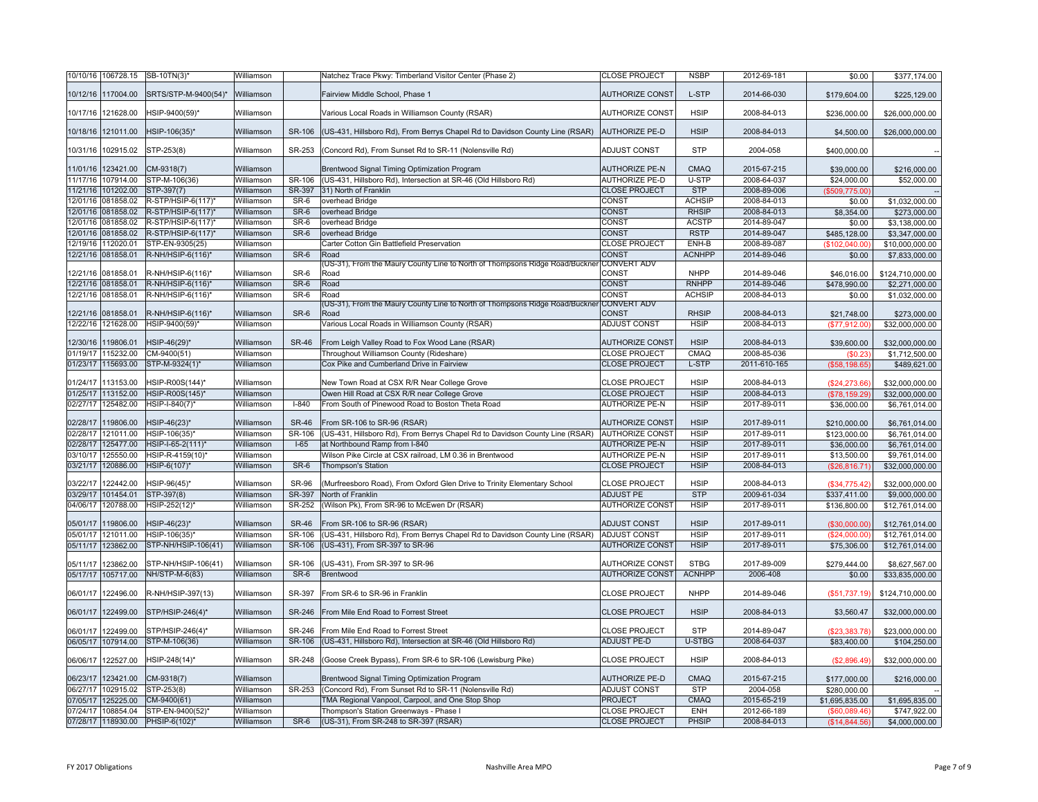|          | 10/10/16 106728.15 | SB-10TN(3)*               | Williamson |              | Natchez Trace Pkwy: Timberland Visitor Center (Phase 2)                              | <b>CLOSE PROJECT</b>        | <b>NSBP</b>   | 2012-69-181  | \$0.00         | \$377,174.00     |
|----------|--------------------|---------------------------|------------|--------------|--------------------------------------------------------------------------------------|-----------------------------|---------------|--------------|----------------|------------------|
|          | 10/12/16 117004.00 | SRTS/STP-M-9400(54)*      | Williamson |              | Fairview Middle School, Phase 1                                                      | <b>AUTHORIZE CONST</b>      | L-STP         | 2014-66-030  | \$179,604.00   | \$225,129.00     |
|          | 10/17/16 121628.00 | HSIP-9400(59)*            | Williamson |              | Various Local Roads in Williamson County (RSAR)                                      | <b>AUTHORIZE CONST</b>      | <b>HSIP</b>   | 2008-84-013  | \$236,000.00   | \$26,000,000.00  |
|          | 10/18/16 121011.00 | HSIP-106(35)*             | Williamson | SR-106       | (US-431, Hillsboro Rd), From Berrys Chapel Rd to Davidson County Line (RSAR)         | <b>AUTHORIZE PE-D</b>       | <b>HSIP</b>   | 2008-84-013  | \$4,500.00     | \$26,000,000.00  |
|          | 10/31/16 102915.02 | STP-253(8)                | Williamson | SR-253       | (Concord Rd), From Sunset Rd to SR-11 (Nolensville Rd)                               | ADJUST CONST                | <b>STP</b>    | 2004-058     | \$400,000.00   |                  |
|          | 11/01/16 123421.00 | CM-9318(7)                | Williamson |              | Brentwood Signal Timing Optimization Program                                         | <b>AUTHORIZE PE-N</b>       | CMAQ          | 2015-67-215  | \$39,000.00    | \$216,000.00     |
|          | 11/17/16 107914.00 | STP-M-106(36)             | Williamson | SR-106       | (US-431, Hillsboro Rd), Intersection at SR-46 (Old Hillsboro Rd)                     | <b>AUTHORIZE PE-D</b>       | U-STP         | 2008-64-037  | \$24,000.00    | \$52,000.00      |
|          | 11/21/16 101202.00 | STP-397(7)                | Williamson | SR-397       | 31) North of Franklin                                                                | <b>CLOSE PROJECT</b>        | <b>STP</b>    | 2008-89-006  | (\$509,775.00) |                  |
|          | 12/01/16 081858.02 | R-STP/HSIP-6(117)*        | Williamson | SR-6         | overhead Bridge                                                                      | CONST                       | <b>ACHSIP</b> | 2008-84-013  | \$0.00         | \$1,032,000.00   |
|          | 12/01/16 081858.02 | R-STP/HSIP-6(117)*        | Williamson | SR-6         | overhead Bridge                                                                      | <b>CONST</b>                | <b>RHSIP</b>  | 2008-84-013  | \$8,354.00     | \$273,000.00     |
|          | 12/01/16 081858.02 | R-STP/HSIP-6(117)*        | Williamson | SR-6         | overhead Bridge                                                                      | CONST                       | <b>ACSTP</b>  | 2014-89-047  | \$0.00         | \$3,138,000.00   |
|          | 12/01/16 081858.02 | R-STP/HSIP-6(117)*        | Williamson | $SR-6$       | overhead Bridge                                                                      | <b>CONST</b>                | <b>RSTP</b>   | 2014-89-047  | \$485,128.00   | \$3,347,000.00   |
| 12/19/16 | 112020.01          | STP-EN-9305(25)           | Williamson |              | Carter Cotton Gin Battlefield Preservation                                           | <b>CLOSE PROJECT</b>        | ENH-B         | 2008-89-087  | (\$102,040.00  | \$10,000,000.00  |
|          | 12/21/16 081858.01 | R-NH/HSIP-6(116)*         | Williamson | SR-6         | Road                                                                                 | CONST                       | <b>ACNHPP</b> | 2014-89-046  | \$0.00         | \$7,833,000.00   |
|          | 12/21/16 081858.01 | R-NH/HSIP-6(116)*         | Williamson | SR-6         | (US-31), From the Maury County Line to North of Thompsons Ridge Road/Buckner<br>Road | <b>CONVERT ADV</b><br>CONST | <b>NHPP</b>   | 2014-89-046  | \$46,016.00    | \$124,710,000.00 |
|          | 12/21/16 081858.01 | R-NH/HSIP-6(116)*         | Williamson | $SR-6$       | Road                                                                                 | CONST                       | <b>RNHPP</b>  | 2014-89-046  | \$478,990.00   | \$2,271,000.00   |
|          | 12/21/16 081858.01 | R-NH/HSIP-6(116)*         | Williamson | SR-6         | Road                                                                                 | CONST                       | <b>ACHSIP</b> | 2008-84-013  | \$0.00         | \$1,032,000.00   |
|          |                    |                           |            |              | (US-31), From the Maury County Line to North of Thompsons Ridge Road/Buckner         | <b>CONVERT ADV</b>          |               |              |                |                  |
|          | 12/21/16 081858.01 | R-NH/HSIP-6(116)*         | Williamson | SR-6         | Road                                                                                 | <b>CONST</b>                | <b>RHSIP</b>  | 2008-84-013  | \$21,748.00    | \$273,000.00     |
|          | 12/22/16 121628.00 | HSIP-9400(59)*            | Williamson |              | Various Local Roads in Williamson County (RSAR)                                      | ADJUST CONST                | <b>HSIP</b>   | 2008-84-013  | (\$77,912.00)  | \$32,000,000.00  |
| 12/30/16 | 119806.01          | HSIP-46(29)*              | Williamson | <b>SR-46</b> | From Leigh Valley Road to Fox Wood Lane (RSAR)                                       | <b>AUTHORIZE CONST</b>      | <b>HSIP</b>   | 2008-84-013  | \$39,600.00    | \$32,000,000.00  |
|          | 01/19/17 115232.00 | CM-9400(51)               | Williamson |              | Throughout Williamson County (Rideshare)                                             | <b>CLOSE PROJECT</b>        | CMAQ          | 2008-85-036  | \$0.23         | \$1,712,500.00   |
|          | 01/23/17 115693.00 | STP-M-9324(1)*            | Williamson |              | Cox Pike and Cumberland Drive in Fairview                                            | <b>CLOSE PROJECT</b>        | L-STP         | 2011-610-165 | (\$58,198.65)  | \$489,621.00     |
| 01/24/17 | 113153.00          | HSIP-R00S(144)*           | Williamson |              | New Town Road at CSX R/R Near College Grove                                          | <b>CLOSE PROJECT</b>        | <b>HSIP</b>   | 2008-84-013  | (\$24,273.66)  | \$32,000,000.00  |
| 01/25/17 | 113152.00          | HSIP-R00S(145)*           | Williamson |              | Owen Hill Road at CSX R/R near College Grove                                         | <b>CLOSE PROJECT</b>        | <b>HSIP</b>   | 2008-84-013  | (\$78,159.29)  | \$32,000,000.00  |
| 02/27/17 | 125482.00          | HSIP-I-840(7)*            | Williamson | $I - 840$    | From South of Pinewood Road to Boston Theta Road                                     | <b>AUTHORIZE PE-N</b>       | <b>HSIP</b>   | 2017-89-011  | \$36,000.00    | \$6,761,014.00   |
| 02/28/17 | 119806.00          | HSIP-46(23)*              | Williamson | <b>SR-46</b> | From SR-106 to SR-96 (RSAR)                                                          | <b>AUTHORIZE CONST</b>      | <b>HSIP</b>   | 2017-89-011  | \$210,000.00   | \$6,761,014.00   |
|          | 02/28/17 121011.00 | HSIP-106(35)              | Williamson | SR-106       | (US-431, Hillsboro Rd), From Berrys Chapel Rd to Davidson County Line (RSAR)         | <b>AUTHORIZE CONST</b>      | <b>HSIP</b>   | 2017-89-011  | \$123,000.00   | \$6,761,014.00   |
| 02/28/17 | 125477.00          | HSIP-I-65-2(111)*         | Williamson | $I-65$       | at Northbound Ramp from I-840                                                        | <b>AUTHORIZE PE-N</b>       | <b>HSIP</b>   | 2017-89-011  | \$36,000.00    | \$6,761,014.00   |
| 03/10/17 | 125550.00          | HSIP-R-4159(10)*          | Williamson |              | Wilson Pike Circle at CSX railroad, LM 0.36 in Brentwood                             | <b>AUTHORIZE PE-N</b>       | <b>HSIP</b>   | 2017-89-011  | \$13,500.00    | \$9,761,014.00   |
| 03/21/17 | 120886.00          | HSIP-6(107)*              | Williamson | SR-6         | <b>Thompson's Station</b>                                                            | <b>CLOSE PROJECT</b>        | <b>HSIP</b>   | 2008-84-013  | (\$26,816.71)  | \$32,000,000.00  |
| 03/22/17 | 122442.00          | HSIP-96(45)*              | Williamson | <b>SR-96</b> | (Murfreesboro Road), From Oxford Glen Drive to Trinity Elementary School             | <b>CLOSE PROJECT</b>        | <b>HSIP</b>   | 2008-84-013  | (\$34,775.42)  | \$32,000,000.00  |
| 03/29/17 | 101454.01          | STP-397(8)                | Williamson | SR-397       | North of Franklin                                                                    | <b>ADJUST PE</b>            | <b>STP</b>    | 2009-61-034  | \$337,411.00   | \$9,000,000.00   |
|          | 04/06/17 120788.00 | HSIP-252(12) <sup>*</sup> | Williamson | SR-252       | (Wilson Pk), From SR-96 to McEwen Dr (RSAR)                                          | <b>AUTHORIZE CONST</b>      | <b>HSIP</b>   | 2017-89-011  | \$136,800.00   | \$12,761,014.00  |
| 05/01/17 | 119806.00          | HSIP-46(23)*              | Williamson | <b>SR-46</b> | From SR-106 to SR-96 (RSAR)                                                          | <b>ADJUST CONST</b>         | <b>HSIP</b>   | 2017-89-011  | (\$30,000.00)  | \$12,761,014.00  |
|          | 05/01/17 121011.00 | HSIP-106(35)              | Williamson | SR-106       | (US-431, Hillsboro Rd), From Berrys Chapel Rd to Davidson County Line (RSAR)         | ADJUST CONST                | <b>HSIP</b>   | 2017-89-011  | (\$24,000.00)  | \$12,761,014.00  |
|          | 05/11/17 123862.00 | STP-NH/HSIP-106(41)       | Williamson | SR-106       | (US-431), From SR-397 to SR-96                                                       | <b>AUTHORIZE CONST</b>      | <b>HSIP</b>   | 2017-89-011  | \$75,306.00    | \$12,761,014.00  |
|          | 05/11/17 123862.00 | STP-NH/HSIP-106(41)       | Williamson | SR-106       | (US-431), From SR-397 to SR-96                                                       | <b>AUTHORIZE CONST</b>      | <b>STBG</b>   | 2017-89-009  | \$279,444.00   | \$8,627,567.00   |
|          | 05/17/17 105717.00 | NH/STP-M-6(83)            | Williamson | SR-6         | Brentwood                                                                            | <b>AUTHORIZE CONST</b>      | <b>ACNHPP</b> | 2006-408     | \$0.00         | \$33,835,000.00  |
|          | 06/01/17 122496.00 | R-NH/HSIP-397(13)         | Williamson | SR-397       | From SR-6 to SR-96 in Franklin                                                       | <b>CLOSE PROJECT</b>        | <b>NHPP</b>   | 2014-89-046  | (\$51,737.19)  | \$124,710,000.00 |
|          | 06/01/17 122499.00 | STP/HSIP-246(4)*          | Williamson | SR-246       | From Mile End Road to Forrest Street                                                 | <b>CLOSE PROJECT</b>        | <b>HSIP</b>   | 2008-84-013  | \$3,560.47     | \$32,000,000.00  |
|          | 06/01/17 122499.00 | STP/HSIP-246(4)*          | Williamson | SR-246       | From Mile End Road to Forrest Street                                                 | <b>CLOSE PROJECT</b>        | <b>STP</b>    | 2014-89-047  | (\$23,383.78)  | \$23,000,000.00  |
|          | 06/05/17 107914.00 | STP-M-106(36)             | Williamson | SR-106       | (US-431, Hillsboro Rd), Intersection at SR-46 (Old Hillsboro Rd)                     | ADJUST PE-D                 | <b>U-STBG</b> | 2008-64-037  | \$83,400.00    | \$104,250.00     |
|          |                    |                           |            |              |                                                                                      |                             |               |              |                |                  |
| 06/06/17 | 122527.00          | HSIP-248(14)*             | Williamson | SR-248       | (Goose Creek Bypass), From SR-6 to SR-106 (Lewisburg Pike)                           | <b>CLOSE PROJECT</b>        | <b>HSIP</b>   | 2008-84-013  | (\$2,896.49)   | \$32,000,000.00  |
| 06/23/17 | 123421.00          | CM-9318(7)                | Williamson |              | Brentwood Signal Timing Optimization Program                                         | <b>AUTHORIZE PE-D</b>       | <b>CMAQ</b>   | 2015-67-215  | \$177,000.00   | \$216,000.00     |
|          | 06/27/17 102915.02 | STP-253(8)                | Williamson | SR-253       | (Concord Rd), From Sunset Rd to SR-11 (Nolensville Rd)                               | ADJUST CONST                | <b>STP</b>    | 2004-058     | \$280,000.00   |                  |
| 07/05/17 | 125225.00          | CM-9400(61)               | Williamson |              | TMA Regional Vanpool, Carpool, and One Stop Shop                                     | <b>PROJECT</b>              | <b>CMAQ</b>   | 2015-65-219  | \$1,695,835.00 | \$1,695,835.00   |
| 07/24/17 | 108854.04          | STP-EN-9400(52)*          | Williamson |              | Thompson's Station Greenways - Phase I                                               | <b>CLOSE PROJECT</b>        | ENH           | 2012-66-189  | (\$60,089.46)  | \$747,922.00     |
|          | 07/28/17 118930.00 | PHSIP-6(102)*             | Williamson | SR-6         | (US-31), From SR-248 to SR-397 (RSAR)                                                | <b>CLOSE PROJECT</b>        | PHSIP         | 2008-84-013  | (\$14,844.56)  | \$4,000,000.00   |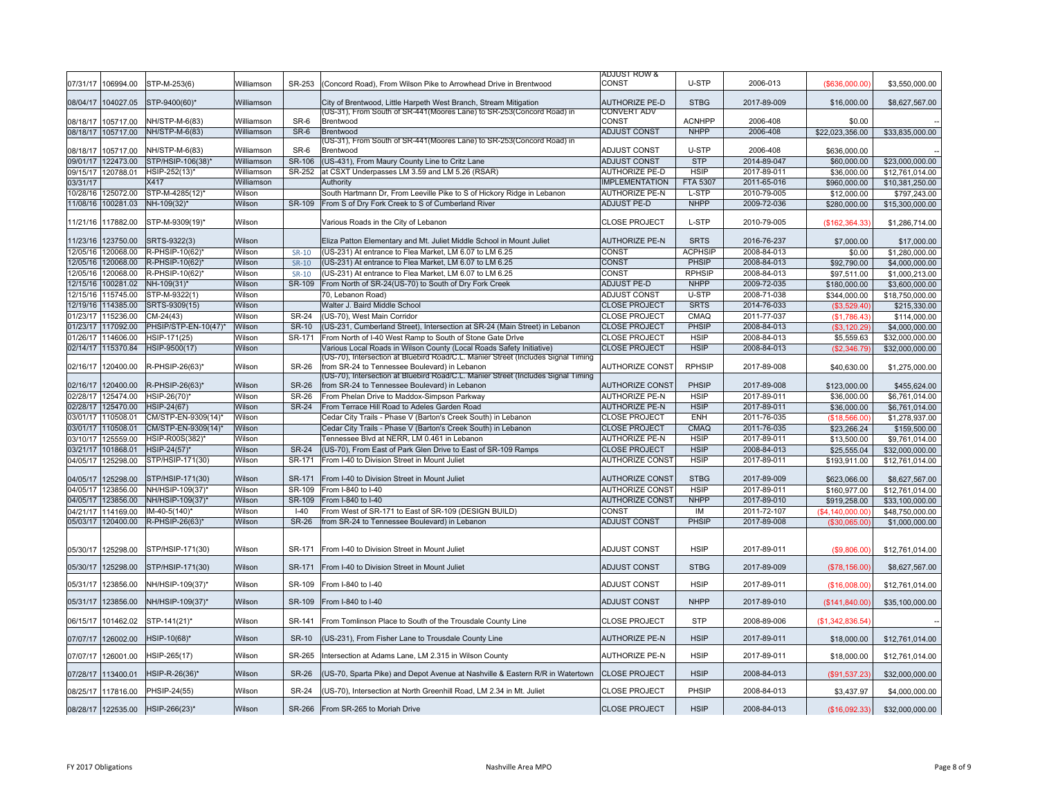|          |                      |                      |            |               |                                                                                                                                                           | <b>ADJUST ROW &amp;</b>     |                 |             |                  |                 |
|----------|----------------------|----------------------|------------|---------------|-----------------------------------------------------------------------------------------------------------------------------------------------------------|-----------------------------|-----------------|-------------|------------------|-----------------|
| 07/31/17 | 106994.00            | STP-M-253(6)         | Williamson | SR-253        | (Concord Road), From Wilson Pike to Arrowhead Drive in Brentwood                                                                                          | CONST                       | U-STP           | 2006-013    | (\$636,000.00)   | \$3,550,000.00  |
|          | 08/04/17 104027.05   | STP-9400(60)*        | Williamson |               | City of Brentwood, Little Harpeth West Branch, Stream Mitigation                                                                                          | <b>AUTHORIZE PE-D</b>       | <b>STBG</b>     | 2017-89-009 | \$16,000.00      | \$8,627,567.00  |
|          | 08/18/17 105717.00   | NH/STP-M-6(83)       | Williamson | SR-6          | (US-31), From South of SR-441(Moores Lane) to SR-253(Concord Road) in<br>Brentwood                                                                        | <b>CONVERT ADV</b><br>CONST | <b>ACNHPP</b>   | 2006-408    | \$0.00           |                 |
|          | 08/18/17 105717.00   | NH/STP-M-6(83)       | Williamson | SR-6          | Brentwood                                                                                                                                                 | <b>ADJUST CONST</b>         | <b>NHPP</b>     | 2006-408    | \$22,023,356.00  | \$33,835,000.00 |
|          |                      |                      |            |               | (US-31), From South of SR-441(Moores Lane) to SR-253(Concord Road) in                                                                                     |                             |                 |             |                  |                 |
| 08/18/17 | 105717.00            | NH/STP-M-6(83)       | Williamson | SR-6          | Brentwood                                                                                                                                                 | <b>ADJUST CONST</b>         | U-STP           | 2006-408    | \$636,000.00     |                 |
|          | 09/01/17 122473.00   | STP/HSIP-106(38)*    | Williamson | <b>SR-106</b> | (US-431), From Maury County Line to Critz Lane                                                                                                            | <b>ADJUST CONST</b>         | <b>STP</b>      | 2014-89-047 | \$60,000.00      | \$23,000,000.00 |
|          | 09/15/17 120788.01   | HSIP-252(13)*        | Williamson | SR-252        | at CSXT Underpasses LM 3.59 and LM 5.26 (RSAR)                                                                                                            | <b>AUTHORIZE PE-D</b>       | <b>HSIP</b>     | 2017-89-011 | \$36,000.00      | \$12,761,014.00 |
| 03/31/17 |                      | X417                 | Williamson |               | Authority                                                                                                                                                 | <b>IMPLEMENTATION</b>       | <b>FTA 5307</b> | 2011-65-016 | \$960,000.00     | \$10,381,250.00 |
| 10/28/16 | 125072.00            | STP-M-4285(12)*      | Wilson     |               | South Hartmann Dr, From Leeville Pike to S of Hickory Ridge in Lebanon                                                                                    | <b>AUTHORIZE PE-N</b>       | L-STP           | 2010-79-005 | \$12,000.00      | \$797,243.00    |
|          | 11/08/16 100281.03   | NH-109(32)*          | Wilson     | SR-109        | From S of Dry Fork Creek to S of Cumberland River                                                                                                         | <b>ADJUST PE-D</b>          | <b>NHPP</b>     | 2009-72-036 | \$280,000.00     | \$15,300,000.00 |
|          |                      |                      |            |               |                                                                                                                                                           |                             |                 |             |                  |                 |
|          | 11/21/16 117882.00   | STP-M-9309(19)*      | Wilson     |               | Various Roads in the City of Lebanon                                                                                                                      | <b>CLOSE PROJECT</b>        | L-STP           | 2010-79-005 | (\$162, 364.33)  | \$1,286,714.00  |
|          | 11/23/16 123750.00   | SRTS-9322(3)         | Wilson     |               | Eliza Patton Elementary and Mt. Juliet Middle School in Mount Juliet                                                                                      | <b>AUTHORIZE PE-N</b>       | <b>SRTS</b>     | 2016-76-237 | \$7,000.00       | \$17,000.00     |
| 12/05/16 | 120068.00            | R-PHSIP-10(62)*      | Wilson     | SR-10         | (US-231) At entrance to Flea Market, LM 6.07 to LM 6.25                                                                                                   | CONST                       | <b>ACPHSIP</b>  | 2008-84-013 | \$0.00           | \$1,280,000.00  |
|          | 12/05/16 120068.00   | R-PHSIP-10(62)*      | Wilson     | SR-10         | (US-231) At entrance to Flea Market, LM 6.07 to LM 6.25                                                                                                   | CONST                       | PHSIP           | 2008-84-013 | \$92,790.00      | \$4,000,000.00  |
| 12/05/16 | 120068.00            | R-PHSIP-10(62)*      | Wilson     | SR-10         | (US-231) At entrance to Flea Market, LM 6.07 to LM 6.25                                                                                                   | CONST                       | <b>RPHSIP</b>   | 2008-84-013 | \$97,511.00      | \$1,000,213.00  |
|          | 12/15/16 100281.02   | NH-109(31)*          | Wilson     | SR-109        | From North of SR-24(US-70) to South of Dry Fork Creek                                                                                                     | <b>ADJUST PE-D</b>          | <b>NHPP</b>     | 2009-72-035 | \$180,000.00     | \$3,600,000.00  |
| 12/15/16 | 115745.00            | STP-M-9322(1)        | Wilson     |               | 70. Lebanon Road)                                                                                                                                         | <b>ADJUST CONST</b>         | U-STP           | 2008-71-038 | \$344,000.00     | \$18,750,000.00 |
|          | 12/19/16 114385.00   | SRTS-9309(15)        | Wilson     |               | Walter J. Baird Middle School                                                                                                                             | <b>CLOSE PROJECT</b>        | <b>SRTS</b>     | 2014-76-033 | (\$3,529.40)     | \$215,330.00    |
| 01/23/17 | 115236.00            | CM-24(43)            | Wilson     | <b>SR-24</b>  | (US-70), West Main Corridor                                                                                                                               | <b>CLOSE PROJECT</b>        | <b>CMAQ</b>     | 2011-77-037 | (\$1,786.43)     | \$114,000.00    |
|          | 01/23/17 117092.00   | PHSIP/STP-EN-10(47)* | Wilson     | <b>SR-10</b>  | (US-231, Cumberland Street), Intersection at SR-24 (Main Street) in Lebanon                                                                               | <b>CLOSE PROJECT</b>        | PHSIP           | 2008-84-013 |                  |                 |
|          |                      |                      |            | SR-171        |                                                                                                                                                           |                             | <b>HSIP</b>     |             | (\$3,120.29)     | \$4,000,000.00  |
| 01/26/17 | 114606.00            | HSIP-171(25)         | Wilson     |               | From North of I-40 West Ramp to South of Stone Gate Drive                                                                                                 | <b>CLOSE PROJECT</b>        |                 | 2008-84-013 | \$5,559.63       | \$32,000,000.00 |
|          | 02/14/17 115370.84   | HSIP-9500(17)        | Wilson     |               | Various Local Roads in Wilson County (Local Roads Safety Initiative)<br>(US-70), Intersection at Bluebird Road/C.L. Manier Street (Includes Signal Timing | <b>CLOSE PROJECT</b>        | <b>HSIP</b>     | 2008-84-013 | (\$2,346.79)     | \$32,000,000.00 |
| 02/16/17 | 120400.00            | R-PHSIP-26(63)*      | Wilson     | <b>SR-26</b>  | from SR-24 to Tennessee Boulevard) in Lebanon                                                                                                             | <b>AUTHORIZE CONST</b>      | <b>RPHSIP</b>   | 2017-89-008 | \$40,630.00      | \$1,275,000.00  |
| 02/16/17 | 120400.00            | R-PHSIP-26(63)*      | Wilson     | SR-26         | (US-70), Intersection at Bluebird Road/C.L. Manier Street (Includes Signal Timing<br>from SR-24 to Tennessee Boulevard) in Lebanon                        | <b>AUTHORIZE CONST</b>      | PHSIP           | 2017-89-008 | \$123,000.00     |                 |
|          | 02/28/17 125474.00   | HSIP-26(70)*         | Wilson     | <b>SR-26</b>  | From Phelan Drive to Maddox-Simpson Parkway                                                                                                               | <b>AUTHORIZE PE-N</b>       | <b>HSIP</b>     | 2017-89-011 |                  | \$455,624.00    |
|          |                      |                      |            |               |                                                                                                                                                           |                             |                 |             | \$36,000.00      | \$6,761,014.00  |
|          | 02/28/17 125470.00   | <b>HSIP-24(67)</b>   | Wilson     | <b>SR-24</b>  | From Terrace Hill Road to Adeles Garden Road                                                                                                              | <b>AUTHORIZE PE-N</b>       | <b>HSIP</b>     | 2017-89-011 | \$36,000.00      | \$6,761,014.00  |
|          | 03/01/17 110508.01   | CM/STP-EN-9309(14)*  | Wilson     |               | Cedar City Trails - Phase V (Barton's Creek South) in Lebanon                                                                                             | <b>CLOSE PROJECT</b>        | <b>ENH</b>      | 2011-76-035 | (\$18,566.00)    | \$1,278,937.00  |
|          | 03/01/17 110508.01   | CM/STP-EN-9309(14)*  | Wilson     |               | Cedar City Trails - Phase V (Barton's Creek South) in Lebanon                                                                                             | <b>CLOSE PROJECT</b>        | CMAQ            | 2011-76-035 | \$23,266.24      | \$159,500.00    |
| 03/10/17 | 125559.00            | HSIP-R00S(382)*      | Wilson     |               | Tennessee Blvd at NERR, LM 0.461 in Lebanon                                                                                                               | <b>AUTHORIZE PE-N</b>       | <b>HSIP</b>     | 2017-89-011 | \$13,500.00      | \$9,761,014,00  |
|          | 03/21/17 101868.01   | HSIP-24(57)*         | Wilson     | <b>SR-24</b>  | (US-70), From East of Park Glen Drive to East of SR-109 Ramps                                                                                             | <b>CLOSE PROJECT</b>        | <b>HSIP</b>     | 2008-84-013 | \$25,555.04      | \$32,000,000.00 |
| 04/05/17 | 125298.00            | STP/HSIP-171(30)     | Wilson     | SR-171        | From I-40 to Division Street in Mount Juliet                                                                                                              | <b>AUTHORIZE CONST</b>      | <b>HSIP</b>     | 2017-89-011 | \$193,911.00     | \$12,761,014.00 |
| 04/05/17 | 125298.00            | STP/HSIP-171(30)     | Wilson     | SR-171        | From I-40 to Division Street in Mount Juliet                                                                                                              | <b>AUTHORIZE CONST</b>      | <b>STBG</b>     | 2017-89-009 | \$623,066.00     | \$8,627,567.00  |
|          | 04/05/17 123856.00   | NH/HSIP-109(37)*     | Wilson     | SR-109        | From I-840 to I-40                                                                                                                                        | <b>AUTHORIZE CONST</b>      | <b>HSIP</b>     | 2017-89-011 | \$160,977.00     | \$12,761,014.00 |
|          | 04/05/17 123856.00   | NH/HSIP-109(37)*     | Wilson     | SR-109        | From I-840 to I-40                                                                                                                                        | <b>AUTHORIZE CONST</b>      | <b>NHPP</b>     | 2017-89-010 | \$919,258.00     | \$33,100,000.00 |
| 04/21/17 | 114169.00            | IM-40-5(140)*        | Wilson     | $I-40$        | From West of SR-171 to East of SR-109 (DESIGN BUILD)                                                                                                      | CONST                       | IM              | 2011-72-107 | (\$4,140,000,00) | \$48,750,000.00 |
|          | 05/03/17 120400.00   | R-PHSIP-26(63)*      | Wilson     | <b>SR-26</b>  | from SR-24 to Tennessee Boulevard) in Lebanon                                                                                                             | ADJUST CONST                | PHSIP           | 2017-89-008 | (\$30,065.00)    | \$1,000,000.00  |
|          |                      |                      |            |               |                                                                                                                                                           |                             |                 |             |                  |                 |
|          | 05/30/17 125298.00   | STP/HSIP-171(30)     | Wilson     | SR-171        | From I-40 to Division Street in Mount Juliet                                                                                                              | <b>ADJUST CONST</b>         | <b>HSIP</b>     | 2017-89-011 | (\$9,806.00)     | \$12,761,014.00 |
|          | 05/30/17 125298.00   | STP/HSIP-171(30)     | Wilson     | SR-171        | From I-40 to Division Street in Mount Juliet                                                                                                              | <b>ADJUST CONST</b>         | <b>STBG</b>     | 2017-89-009 | (\$78,156.00)    | \$8,627,567.00  |
| 05/31/17 | 123856.00            | NH/HSIP-109(37)*     | Wilson     | SR-109        | From I-840 to I-40                                                                                                                                        | ADJUST CONST                | <b>HSIP</b>     | 2017-89-011 | (\$16,008.00)    | \$12,761,014.00 |
|          | 05/31/17   123856.00 | NH/HSIP-109(37)*     | Wilson     | SR-109        | From I-840 to I-40                                                                                                                                        | <b>ADJUST CONST</b>         | <b>NHPP</b>     | 2017-89-010 | (S141, 840.00)   | \$35,100,000.00 |
|          |                      |                      |            |               |                                                                                                                                                           |                             |                 |             |                  |                 |
|          | 06/15/17 101462.02   | STP-141(21)*         | Wilson     | SR-141        | From Tomlinson Place to South of the Trousdale County Line                                                                                                | <b>CLOSE PROJECT</b>        | <b>STP</b>      | 2008-89-006 | (\$1,342,836.54) |                 |
|          | 07/07/17 126002.00   | HSIP-10(68)*         | Wilson     | <b>SR-10</b>  | (US-231), From Fisher Lane to Trousdale County Line                                                                                                       | <b>AUTHORIZE PE-N</b>       | <b>HSIP</b>     | 2017-89-011 | \$18,000.00      | \$12,761,014.00 |
| 07/07/17 | 126001.00            | HSIP-265(17)         | Wilson     | SR-265        | Intersection at Adams Lane, LM 2.315 in Wilson County                                                                                                     | AUTHORIZE PE-N              | <b>HSIP</b>     | 2017-89-011 | \$18,000.00      | \$12,761,014.00 |
|          | 07/28/17 113400.01   | HSIP-R-26(36)*       | Wilson     | <b>SR-26</b>  | (US-70, Sparta Pike) and Depot Avenue at Nashville & Eastern R/R in Watertown                                                                             | <b>CLOSE PROJECT</b>        | <b>HSIP</b>     | 2008-84-013 | (\$91,537.23)    | \$32,000,000.00 |
|          | 08/25/17 117816.00   | PHSIP-24(55)         | Wilson     | <b>SR-24</b>  | (US-70), Intersection at North Greenhill Road, LM 2.34 in Mt. Juliet                                                                                      | <b>CLOSE PROJECT</b>        | PHSIP           | 2008-84-013 | \$3,437.97       | \$4,000,000.00  |
|          | 08/28/17 122535.00   | HSIP-266(23)*        | Wilson     | SR-266        | From SR-265 to Moriah Drive                                                                                                                               | <b>CLOSE PROJECT</b>        | <b>HSIP</b>     | 2008-84-013 | (\$16,092.33)    | \$32,000,000.00 |